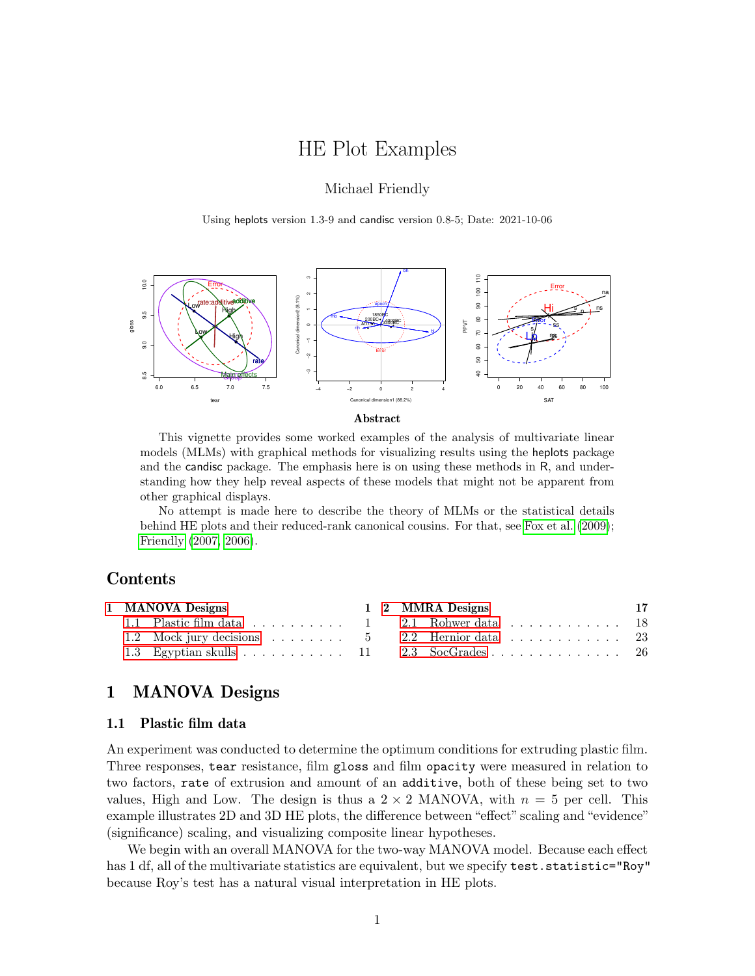# HE Plot Examples

# Michael Friendly

Using heplots version 1.3-9 and candisc version 0.8-5; Date: 2021-10-06





This vignette provides some worked examples of the analysis of multivariate linear models (MLMs) with graphical methods for visualizing results using the heplots package and the candisc package. The emphasis here is on using these methods in R, and understanding how they help reveal aspects of these models that might not be apparent from other graphical displays.

No attempt is made here to describe the theory of MLMs or the statistical details behind HE plots and their reduced-rank canonical cousins. For that, see [Fox et al. \(2009\)](#page-29-0); [Friendly \(2007,](#page-29-1) [2006\)](#page-29-2).

# Contents

|  | 1 MANOVA Designs |  | 1 2 MMRA Designs                              | - 17 |
|--|------------------|--|-----------------------------------------------|------|
|  |                  |  | 1.1 Plastic film data 1 2.1 Rohwer data 18    |      |
|  |                  |  | 1.2 Mock jury decisions 5 2.2 Hernior data 23 |      |
|  |                  |  | 1.3 Egyptian skulls 11 2.3 SocGrades 26       |      |

# <span id="page-0-0"></span>1 MANOVA Designs

## <span id="page-0-1"></span>1.1 Plastic film data

An experiment was conducted to determine the optimum conditions for extruding plastic film. Three responses, tear resistance, film gloss and film opacity were measured in relation to two factors, rate of extrusion and amount of an additive, both of these being set to two values, High and Low. The design is thus a  $2 \times 2$  MANOVA, with  $n = 5$  per cell. This example illustrates 2D and 3D HE plots, the difference between "effect" scaling and "evidence" (significance) scaling, and visualizing composite linear hypotheses.

We begin with an overall MANOVA for the two-way MANOVA model. Because each effect has 1 df, all of the multivariate statistics are equivalent, but we specify test.statistic="Roy" because Roy's test has a natural visual interpretation in HE plots.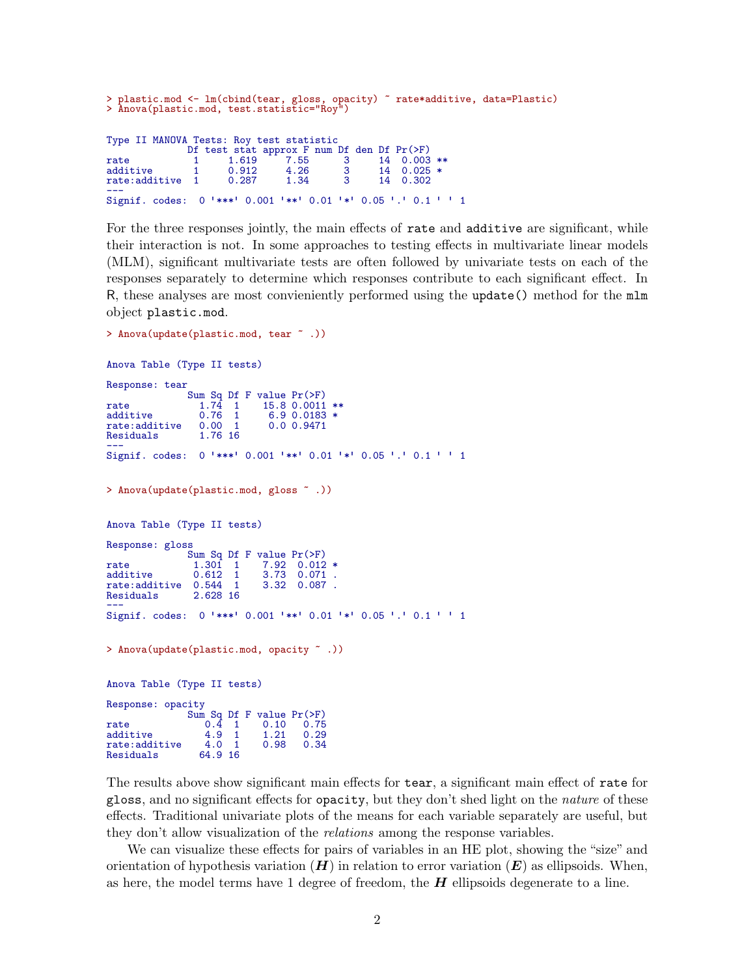```
> plastic.mod <- lm(cbind(tear, gloss, opacity) ~ rate*additive, data=Plastic)
> Anova(plastic.mod, test.statistic="Roy")
Type II MANOVA Tests: Roy test statistic
                  Df test stat approx F num Df den Df Pr(>F)<br>1   1.619   7.55   3   14   0.003
rate 1 1.619 7.55 3 14 0.003 **<br>additive 1 0.912 4.26 3 14 0.025 *
                   \begin{array}{ccccccccc}\n 1 & 0.912 & 4.26 & 3 & 14 & 0.025 * \\
 1 & 0.287 & 1.34 & 3 & 14 & 0.302\n \end{array}rate: additive
---
Signif. codes: 0 ✬***✬ 0.001 ✬**✬ 0.01 ✬*✬ 0.05 ✬.✬ 0.1 ✬ ✬ 1
```
For the three responses jointly, the main effects of rate and additive are significant, while their interaction is not. In some approaches to testing effects in multivariate linear models (MLM), significant multivariate tests are often followed by univariate tests on each of the responses separately to determine which responses contribute to each significant effect. In R, these analyses are most convieniently performed using the update() method for the mlm object plastic.mod.

```
Anova Table (Type II tests)
Response: tear
                     Sum Sq Df F value Pr(>F)
rate 1.74 1 15.8 0.0011 **
\begin{tabular}{lllllllllll} \texttt{rate} & 1.7\bar{4} & 1 & 15.8 & 0.0011 & * \\ \texttt{additive} & 0.76 & 1 & 6.9 & 0.0183 & * \\ \texttt{rate:additive} & 0.00 & 1 & 0.0 & 0.9471 \end{tabular}rate:additive 0.00 1<br>Residuals 1.76 16
Residuals
---
Signif. codes: 0 '***' 0.001 '**' 0.01 '*' 0.05 '.' 0.1 ' ' 1
> Anova(update(plastic.mod, gloss ~ .))
Anova Table (Type II tests)
Response: gloss
                    Sum Sq Df F value Pr(>F)<br>1.301 1 7.92 0.012
rate 1.301 1 7.92 0.012 *<br>additive 0.612 1 3.73 0.071.
additive 0.612 1 3.73 0.071 .<br>rate:additive 0.544 1 3.32 0.087 .
rate:additive 0.544 1<br>Residuals 2.628 16
Residuals
nesiaudis<br>---<br>Signif. codes: 0 '***' 0.001 '**' 0.01 '*' 0.05 '.' 0.1 ' ' 1
> Anova(update(plastic.mod, opacity ~ .))
Anova Table (Type II tests)
Response: opacity
                    Sum Sq Df F value Pr(>F)<br>0.4 1 0.10 0.75
rate 0.\overline{4} 1 0.10 0.75<br>additive 4.9 1 1.21 0.29
additive 4.9 1 1.21 0.29<br>rate:additive 4.0 1 0.98 0.34
rate:additive 4.0 1<br>Residuals 64.9 16
Residuals
```
> Anova(update(plastic.mod, tear ~ .))

The results above show significant main effects for tear, a significant main effect of rate for gloss, and no significant effects for opacity, but they don't shed light on the nature of these effects. Traditional univariate plots of the means for each variable separately are useful, but they don't allow visualization of the relations among the response variables.

We can visualize these effects for pairs of variables in an HE plot, showing the "size" and orientation of hypothesis variation  $(H)$  in relation to error variation  $(E)$  as ellipsoids. When, as here, the model terms have 1 degree of freedom, the  $H$  ellipsoids degenerate to a line.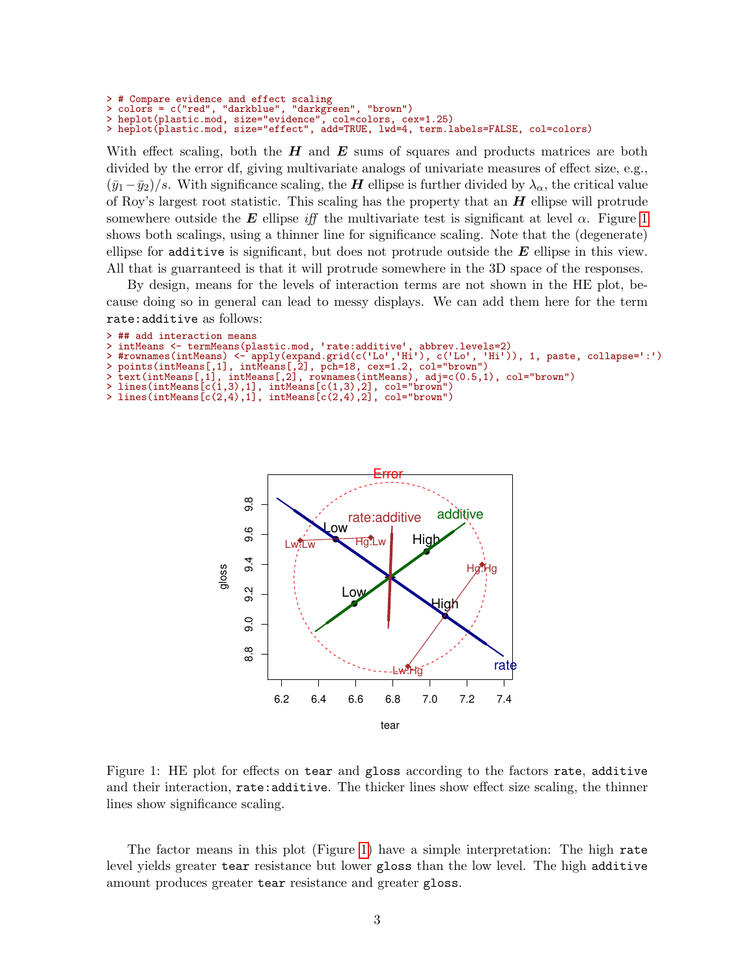> # Compare evidence and effect scaling

```
> colors = c("red", "darkblue", "darkgreen", "brown")
```
> heplot(plastic.mod, size="evidence", col=colors, cex=1.25) > heplot(plastic.mod, size="effect", add=TRUE, lwd=4, term.labels=FALSE, col=colors)

With effect scaling, both the  $H$  and  $E$  sums of squares and products matrices are both divided by the error df, giving multivariate analogs of univariate measures of effect size, e.g.,  $(\bar{y}_1-\bar{y}_2)/s$ . With significance scaling, the **H** ellipse is further divided by  $\lambda_{\alpha}$ , the critical value of Roy's largest root statistic. This scaling has the property that an  $H$  ellipse will protrude somewhere outside the E ellipse iff the multivariate test is significant at level  $\alpha$ . Figure [1](#page-2-0) shows both scalings, using a thinner line for significance scaling. Note that the (degenerate) ellipse for additive is significant, but does not protrude outside the  $E$  ellipse in this view. All that is guarranteed is that it will protrude somewhere in the 3D space of the responses.

By design, means for the levels of interaction terms are not shown in the HE plot, because doing so in general can lead to messy displays. We can add them here for the term rate:additive as follows:

```
> ## add interaction means<br>> intMeans <- termMeans(plastic.mod, 'rate:additive',
> ## add interaction means<br>> intMeans <- termMeans(plastic.mod, 'rate:additive', abbrev.levels=2)
```

```
> ## aud interaction means<br>> intMeans <- termMeans(plastic.mod, 'rate:additive', abbrev.levels=2)<br>> #rownames(intMeans) <- apply(expand.grid(c('Lo','Hi'), c('Lo', 'Hi')), 1, paste, collapse=':')
```

```
> points(intMeans[,1], intMeans[,2], pch=18, cex=1.2, col="brown")
```

```
> text(intMeans[,1], intMeans[,2], rownames(intMeans), adj=c(0.5,1), col="brown")
```
- > lines(intMeans[c(1,3),1], intMeans[c(1,3),2], col="brown")
- $lines(intMeans[c(2,4),1], intMeans[c(2,4),2], col="brown")$



<span id="page-2-0"></span>Figure 1: HE plot for effects on tear and gloss according to the factors rate, additive and their interaction, rate:additive. The thicker lines show effect size scaling, the thinner lines show significance scaling.

The factor means in this plot (Figure [1\)](#page-2-0) have a simple interpretation: The high rate level yields greater tear resistance but lower gloss than the low level. The high additive amount produces greater tear resistance and greater gloss.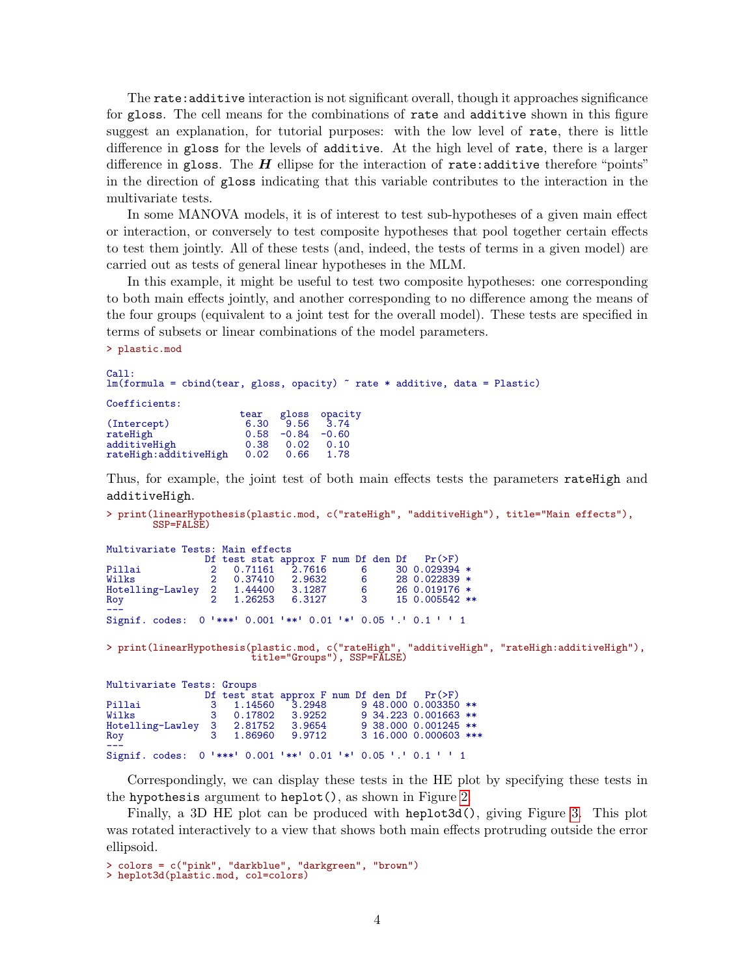The rate:additive interaction is not significant overall, though it approaches significance for gloss. The cell means for the combinations of rate and additive shown in this figure suggest an explanation, for tutorial purposes: with the low level of rate, there is little difference in gloss for the levels of additive. At the high level of rate, there is a larger difference in gloss. The  $H$  ellipse for the interaction of rate:additive therefore "points" in the direction of gloss indicating that this variable contributes to the interaction in the multivariate tests.

In some MANOVA models, it is of interest to test sub-hypotheses of a given main effect or interaction, or conversely to test composite hypotheses that pool together certain effects to test them jointly. All of these tests (and, indeed, the tests of terms in a given model) are carried out as tests of general linear hypotheses in the MLM.

In this example, it might be useful to test two composite hypotheses: one corresponding to both main effects jointly, and another corresponding to no difference among the means of the four groups (equivalent to a joint test for the overall model). These tests are specified in terms of subsets or linear combinations of the model parameters.

> plastic.mod

```
Call:
lm(formula = chind(tear, gloss, opacity) \tilde{ }</math> rate * additive, data = Plastic)
```
Coefficients:

|                       | tear |         | gloss opacity |
|-----------------------|------|---------|---------------|
| (Intercept)           | 6.30 | 9.56    | 3.74          |
| rateHigh              | 0.58 | $-0.84$ | $-0.60$       |
| additiveHigh          | 0.38 | 0.02    | 0.10          |
| rateHigh:additiveHigh | 0.02 | 0.66    | 1.78          |
|                       |      |         |               |

Thus, for example, the joint test of both main effects tests the parameters rateHigh and additiveHigh.

> print(linearHypothesis(plastic.mod, c("rateHigh", "additiveHigh"), title="Main effects"), SSP=FALSE)

| Multivariate Tests: Main effects                              |  |         |                                                 |                            |  |                   |  |
|---------------------------------------------------------------|--|---------|-------------------------------------------------|----------------------------|--|-------------------|--|
|                                                               |  |         | Df test stat approx F num Df den Df $Pr(\ge F)$ |                            |  |                   |  |
| Pillai                                                        |  |         | 2 0.71161 2.7616                                |                            |  | 6 30 0.029394 $*$ |  |
| Wilks                                                         |  |         | 2 0.37410 2.9632                                | $\overline{6}$             |  | 28 0.022839 *     |  |
| Hotelling-Lawley                                              |  |         | 2 1.44400 3.1287                                | $\overline{\phantom{0}}$ 6 |  | 26 0.019176 *     |  |
| Roy                                                           |  | 1.26253 | 6.3127                                          | $\overline{\mathbf{3}}$    |  | 15 0.005542 **    |  |
| Signif. codes: 0 '***' 0.001 '**' 0.01 '*' 0.05 '.' 0.1 ' ' 1 |  |         |                                                 |                            |  |                   |  |
|                                                               |  |         |                                                 |                            |  |                   |  |

> print(linearHypothesis(plastic.mod, c("rateHigh", "additiveHigh", "rateHigh:additiveHigh"), title="Groups"), SSP=FALSE)

| Multivariate Tests: Groups                                    |                  |                                            |  |                       |  |
|---------------------------------------------------------------|------------------|--------------------------------------------|--|-----------------------|--|
|                                                               |                  | Df test stat approx F num Df den Df Pr(>F) |  |                       |  |
| Pillai                                                        | 3 1.14560 3.2948 |                                            |  | 9 48,000 0.003350 **  |  |
| Wilks                                                         | 3 0.17802 3.9252 |                                            |  | 9 34.223 0.001663 **  |  |
| Hotelling-Lawley 3 2.81752                                    |                  | 3.9654                                     |  | 9 38,000 0.001245 **  |  |
| Roy                                                           | 3 1.86960 9.9712 |                                            |  | 3 16,000 0,000603 *** |  |
|                                                               |                  |                                            |  |                       |  |
| Signif. codes: 0 '***' 0.001 '**' 0.01 '*' 0.05 '.' 0.1 ' ' 1 |                  |                                            |  |                       |  |

Correspondingly, we can display these tests in the HE plot by specifying these tests in the hypothesis argument to heplot(), as shown in Figure [2.](#page-4-1)

Finally, a 3D HE plot can be produced with heplot3d(), giving Figure [3.](#page-5-0) This plot was rotated interactively to a view that shows both main effects protruding outside the error ellipsoid.

> colors = c("pink", "darkblue", "darkgreen", "brown") > heplot3d(plastic.mod, col=colors)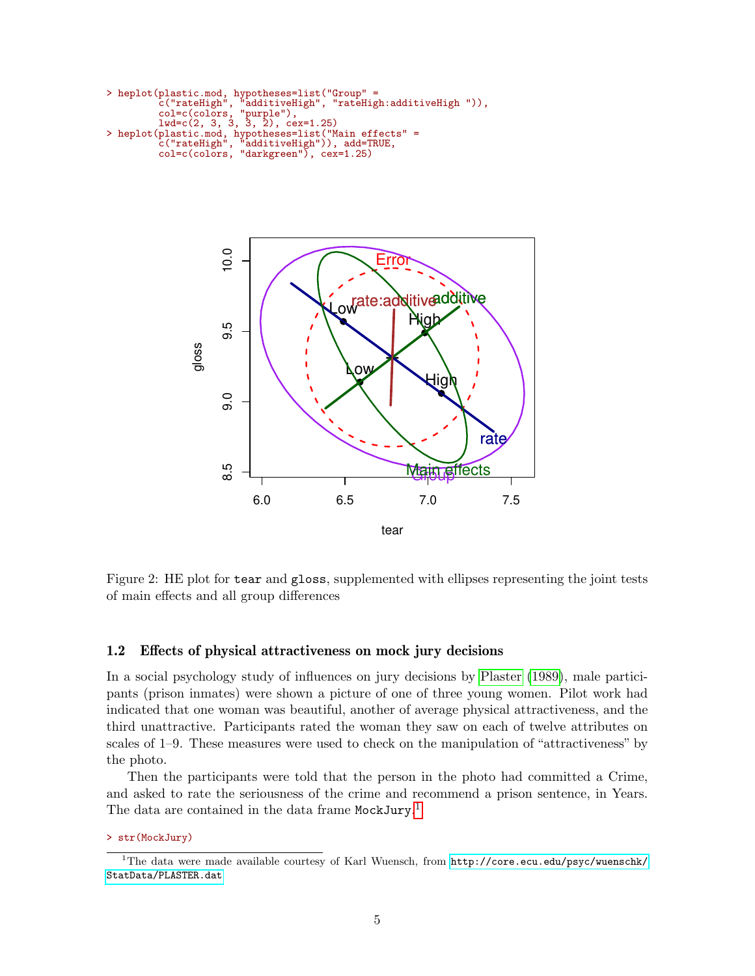```
> heplot(plastic.mod, hypotheses=list("Group" =
            c("rateHigh", "additiveHigh", "rateHigh:additiveHigh ")),
            col=c(colors,<br>1wd=c(2, 3, 3, ...)\begin{array}{c}\n\text{a}u_1, \dots, u_n, \\
\text{purple}, \\
\text{a}u_2, \dots, u_n\n\end{array}> heplot(plastic.mod, hypotheses=list("Main effects" =
            c("rateHigh", "additiveHigh")), add=TRUE,
            col=c(colors, "darkgreen"), cex=1.25)
```


<span id="page-4-1"></span>Figure 2: HE plot for tear and gloss, supplemented with ellipses representing the joint tests of main effects and all group differences

# <span id="page-4-0"></span>1.2 Effects of physical attractiveness on mock jury decisions

In a social psychology study of influences on jury decisions by [Plaster](#page-31-0) [\(1989\)](#page-31-0), male participants (prison inmates) were shown a picture of one of three young women. Pilot work had indicated that one woman was beautiful, another of average physical attractiveness, and the third unattractive. Participants rated the woman they saw on each of twelve attributes on scales of 1–9. These measures were used to check on the manipulation of "attractiveness" by the photo.

Then the participants were told that the person in the photo had committed a Crime, and asked to rate the seriousness of the crime and recommend a prison sentence, in Years. The data are contained in the data frame MockJury.<sup>[1](#page-4-2)</sup>

> str(MockJury)

<span id="page-4-2"></span><sup>1</sup>The data were made available courtesy of Karl Wuensch, from [http://core.ecu.edu/psyc/wuenschk/](http://core.ecu.edu/psyc/wuenschk/StatData/PLASTER.dat) [StatData/PLASTER.dat](http://core.ecu.edu/psyc/wuenschk/StatData/PLASTER.dat)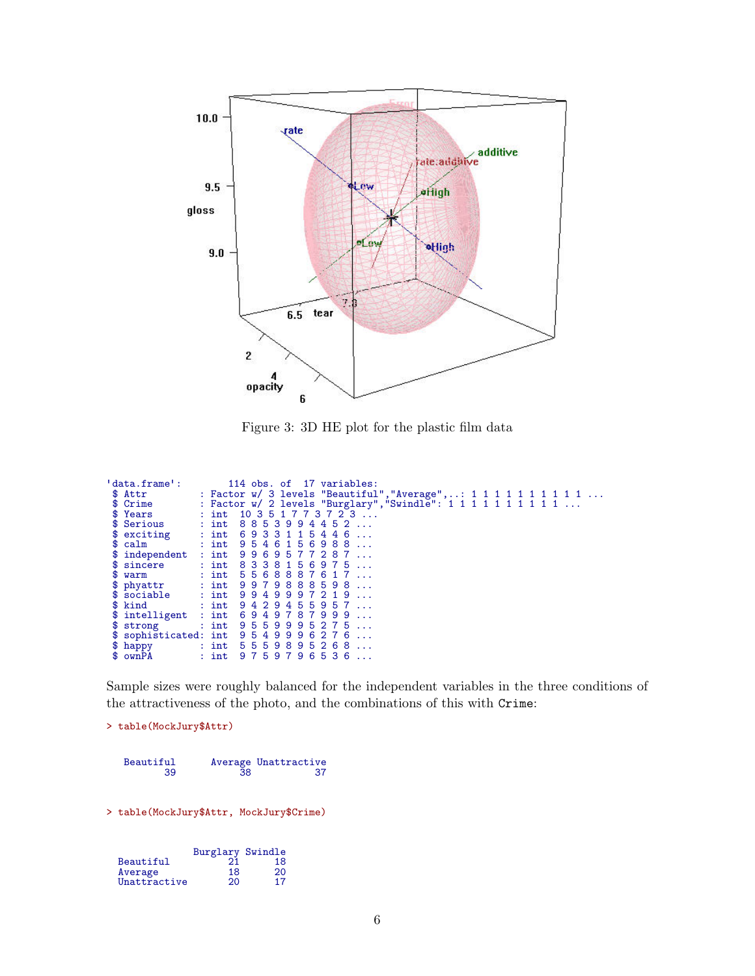

<span id="page-5-0"></span>Figure 3: 3D HE plot for the plastic film data

| 'data.frame':         |         | 114 obs. of 17 variables:                                          |
|-----------------------|---------|--------------------------------------------------------------------|
| \$ Attr               |         | : Factor w/ 3 levels "Beautiful", "Average", : 1 1 1 1 1 1 1 1 1 1 |
| \$ Crime              |         | : Factor w/ 2 levels "Burglary", "Swindle": 1 1 1 1 1 1 1 1 1 1    |
| \$ Years              |         | : int $10351773723$                                                |
| \$ Serious            | $:$ int | 88539944<br>52                                                     |
| \$ exciting           |         | $:$ int 6933<br>1 1 5 4 4 6                                        |
| \$ calm               | $:$ int | 9546156988                                                         |
| \$ independent        | $:$ int | 9969577287                                                         |
| \$ sincere            |         | : int 8338156975                                                   |
| \$<br>warm            |         | : int 5568887617                                                   |
| \$ phyattr            |         | $:$ int $9979888598$                                               |
| $$ \text{social}$     |         | : $int$ 9949997219<br>$\sim$                                       |
| kind<br>SS.           |         | : int $9429455957$<br>$\mathbf{1}$                                 |
| \$ intelligent        |         | $:$ int 6949787999                                                 |
| \$ strong             |         | : int $9559995275$                                                 |
| \$ sophisticated: int |         | 954999627                                                          |
| \$.<br>happy          |         | : int 55598952<br>6 <sup>°</sup>                                   |
| \$ ownPA              | $:$ int | 9759796536                                                         |

Sample sizes were roughly balanced for the independent variables in the three conditions of the attractiveness of the photo, and the combinations of this with Crime:

```
> table(MockJury$Attr)
```

| Beautiful |    | Average Unattractive |
|-----------|----|----------------------|
| 39        | 38 |                      |

> table(MockJury\$Attr, MockJury\$Crime)

|              | Burglary Swindle |    |
|--------------|------------------|----|
| Beautiful    | 21               | 18 |
| Average      | 18               | 20 |
| Unattractive | 20               | 17 |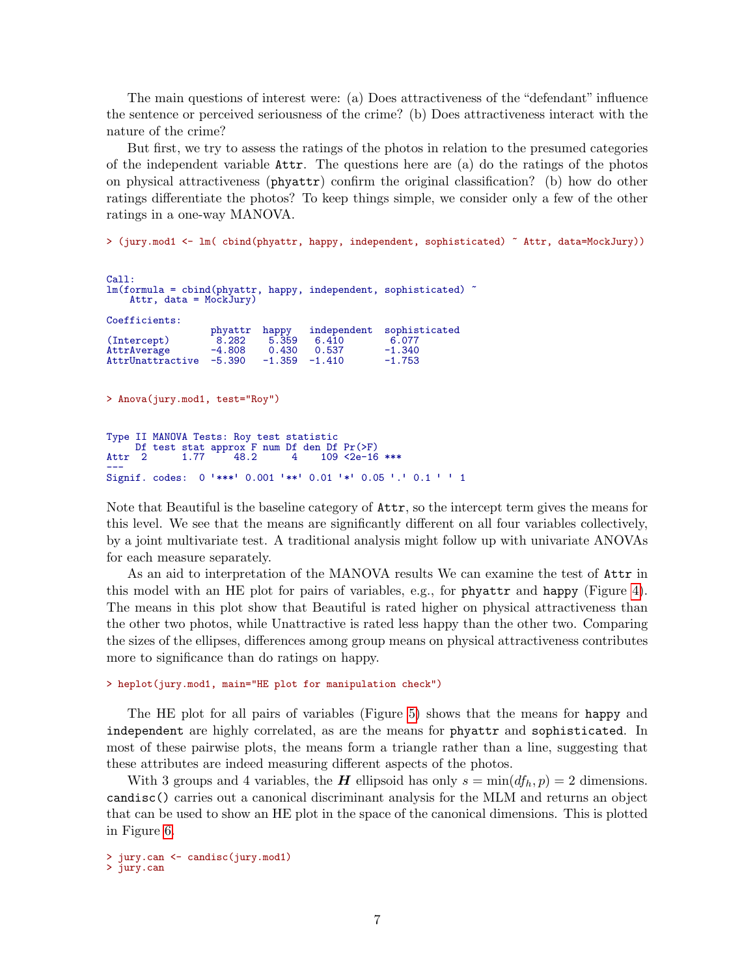The main questions of interest were: (a) Does attractiveness of the "defendant" influence the sentence or perceived seriousness of the crime? (b) Does attractiveness interact with the nature of the crime?

But first, we try to assess the ratings of the photos in relation to the presumed categories of the independent variable Attr. The questions here are (a) do the ratings of the photos on physical attractiveness (phyattr) confirm the original classification? (b) how do other ratings differentiate the photos? To keep things simple, we consider only a few of the other ratings in a one-way MANOVA.

> (jury.mod1 <- lm( cbind(phyattr, happy, independent, sophisticated) ~ Attr, data=MockJury))

```
Call:
lm(formula = chind(phyattr, happy, independent, sophisticated)Attr, data = MockJury)
Coefficients:
                      phyattr happy independent sophisticated 8.282 5.359 6.410 6.077
(Intercept)  8.282  5.359  6.410  6.077<br>AttrAverage   4.808  0.430  0.537  -1.340
AttrAverage -4.808  0.430  0.537  -1.340<br>AttrUnattractive -5.390  -1.359  -1.410  -1.753
AttrUnattractive
> Anova(jury.mod1, test="Roy")
Type II MANOVA Tests: Roy test statistic
      Df test stat approx F num Df den Df Pr(>F)
Attr 2 1.77 48.2 4 109 <2e-16 ***
ACCL 2 1.77 +0.2 + 109 <2e 10 +++<br>---<br>Signif. codes: 0 '***' 0.001 '**' 0.01 '*' 0.05 '.' 0.1 ' ' 1
```
Note that Beautiful is the baseline category of Attr, so the intercept term gives the means for this level. We see that the means are significantly different on all four variables collectively, by a joint multivariate test. A traditional analysis might follow up with univariate ANOVAs for each measure separately.

As an aid to interpretation of the MANOVA results We can examine the test of Attr in this model with an HE plot for pairs of variables, e.g., for phyattr and happy (Figure [4\)](#page-7-0). The means in this plot show that Beautiful is rated higher on physical attractiveness than the other two photos, while Unattractive is rated less happy than the other two. Comparing the sizes of the ellipses, differences among group means on physical attractiveness contributes more to significance than do ratings on happy.

> heplot(jury.mod1, main="HE plot for manipulation check")

The HE plot for all pairs of variables (Figure [5\)](#page-8-0) shows that the means for happy and independent are highly correlated, as are the means for phyattr and sophisticated. In most of these pairwise plots, the means form a triangle rather than a line, suggesting that these attributes are indeed measuring different aspects of the photos.

With 3 groups and 4 variables, the **H** ellipsoid has only  $s = \min(df_h, p) = 2$  dimensions. candisc() carries out a canonical discriminant analysis for the MLM and returns an object that can be used to show an HE plot in the space of the canonical dimensions. This is plotted in Figure [6.](#page-9-0)

> jury.can <- candisc(jury.mod1) > jury.can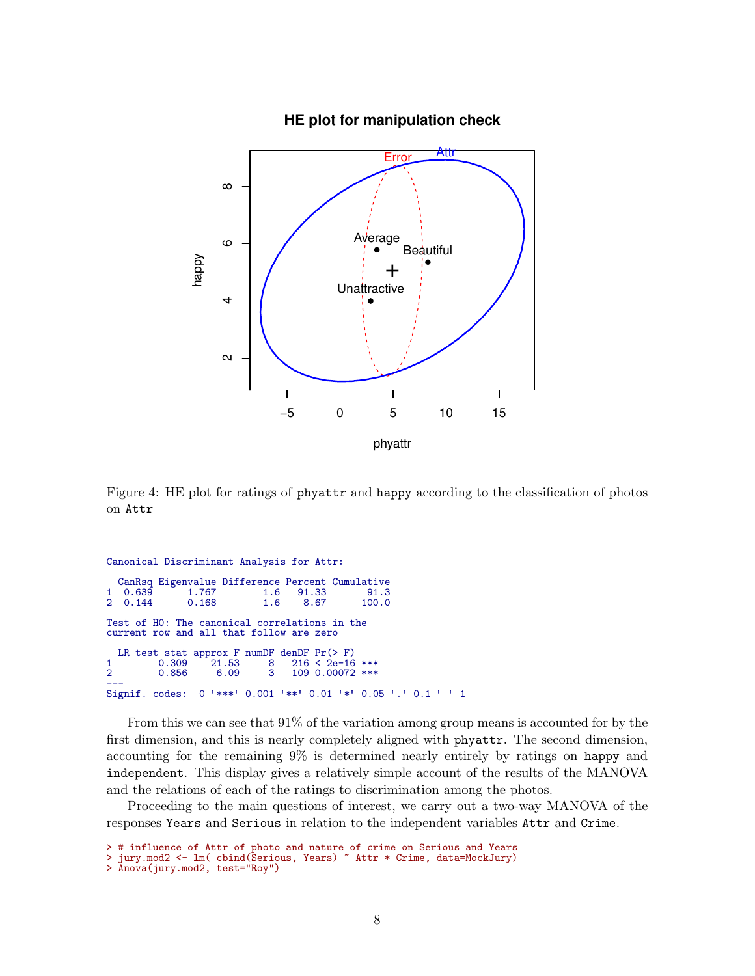

<span id="page-7-0"></span>Figure 4: HE plot for ratings of phyattr and happy according to the classification of photos on Attr

```
Canonical Discriminant Analysis for Attr:
   CanRsq Eigenvalue Difference Percent Cumulative
1 0.639 1.767 1.6 91.33 91.3
2 0.144 0.168 1.6 8.67 100.0
Test of H0: The canonical correlations in the
current row and all that follow are zero
  LR test stat approx F numDF denDF Pr(>F)<br>0.309 21.53 8 216 < 2e-16
\begin{array}{ccccccccc}\n 1 & & & 0.309 & ^{+}21.53 & & 8 & 216 < 2e-16 & & \text{***}\n 2 & & & 0.856 & & 6.09 & & 3 & 109 & 0.00072 & & \text{***}\n \end{array}109 0.00072 ***
∠__    0.000   0.00    0 100 0.00072 ↔↔<br>——<br>Signif. codes: 0 '***' 0.001 '**' 0.01 '*' 0.05 '.' 0.1 ' ' 1
```
From this we can see that 91% of the variation among group means is accounted for by the first dimension, and this is nearly completely aligned with phyattr. The second dimension, accounting for the remaining 9% is determined nearly entirely by ratings on happy and independent. This display gives a relatively simple account of the results of the MANOVA and the relations of each of the ratings to discrimination among the photos.

Proceeding to the main questions of interest, we carry out a two-way MANOVA of the responses Years and Serious in relation to the independent variables Attr and Crime.

```
> # influence of Attr of photo and nature of crime on Serious and Years
> jury.mod2 <- lm( cbind(Serious, Years) ~ Attr * Crime, data=MockJury)
```

```
> Anova(jury.mod2, test="Roy")
```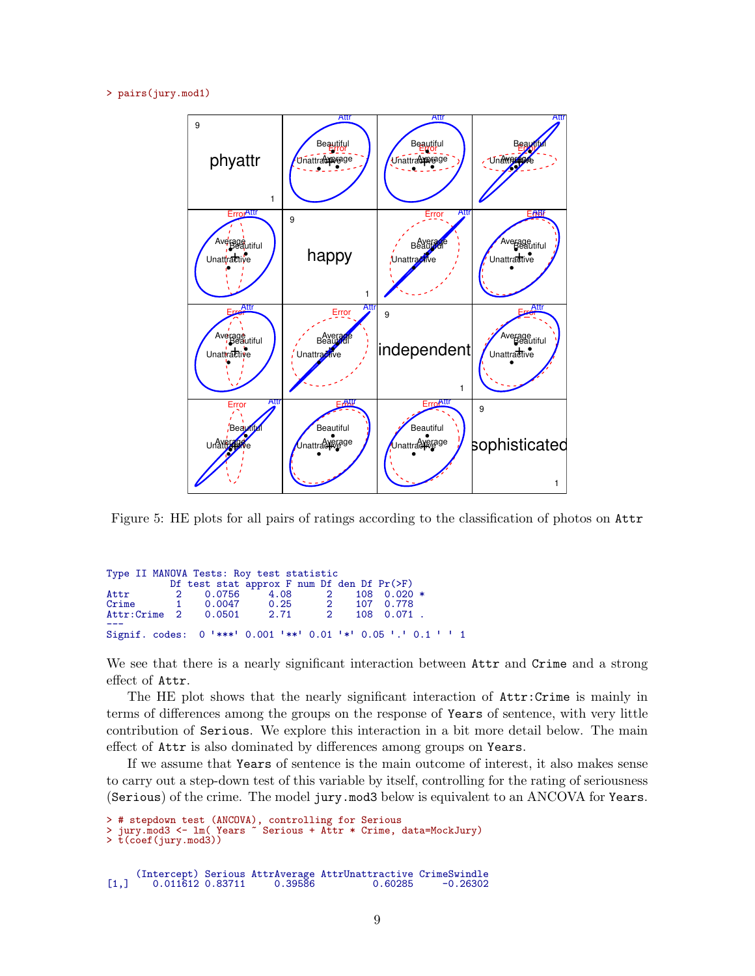```
> pairs(jury.mod1)
```


<span id="page-8-0"></span>Figure 5: HE plots for all pairs of ratings according to the classification of photos on Attr

|       |  |  | Type II MANOVA Tests: Roy test statistic |                |                                                               |                 |  |  |
|-------|--|--|------------------------------------------|----------------|---------------------------------------------------------------|-----------------|--|--|
|       |  |  |                                          |                | Df test stat approx $F$ num Df den Df $Pr(\geq F)$            |                 |  |  |
|       |  |  | Attr 2 0.0756 4.08 2                     |                |                                                               | $108$ 0.020 $*$ |  |  |
| Crime |  |  |                                          |                | 1  0.0047  0.25  2  107  0.778                                |                 |  |  |
|       |  |  |                                          | $\overline{2}$ |                                                               | 108  0.071  .   |  |  |
|       |  |  |                                          |                | Signif. codes: 0 '***' 0.001 '**' 0.01 '*' 0.05 '.' 0.1 ' ' 1 |                 |  |  |

We see that there is a nearly significant interaction between Attr and Crime and a strong effect of Attr.

The HE plot shows that the nearly significant interaction of Attr:Crime is mainly in terms of differences among the groups on the response of Years of sentence, with very little contribution of Serious. We explore this interaction in a bit more detail below. The main effect of Attr is also dominated by differences among groups on Years.

If we assume that Years of sentence is the main outcome of interest, it also makes sense to carry out a step-down test of this variable by itself, controlling for the rating of seriousness (Serious) of the crime. The model jury.mod3 below is equivalent to an ANCOVA for Years.

```
> # stepdown test (ANCOVA), controlling for Serious
> jury.mod3 <- lm( Years ~ Serious + Attr * Crime, data=MockJury)
> t(coef(jury.mod3))
     (Intercept) Serious AttrAverage AttrUnattractive CrimeSwindle
[1,] 0.011612 0.83711
```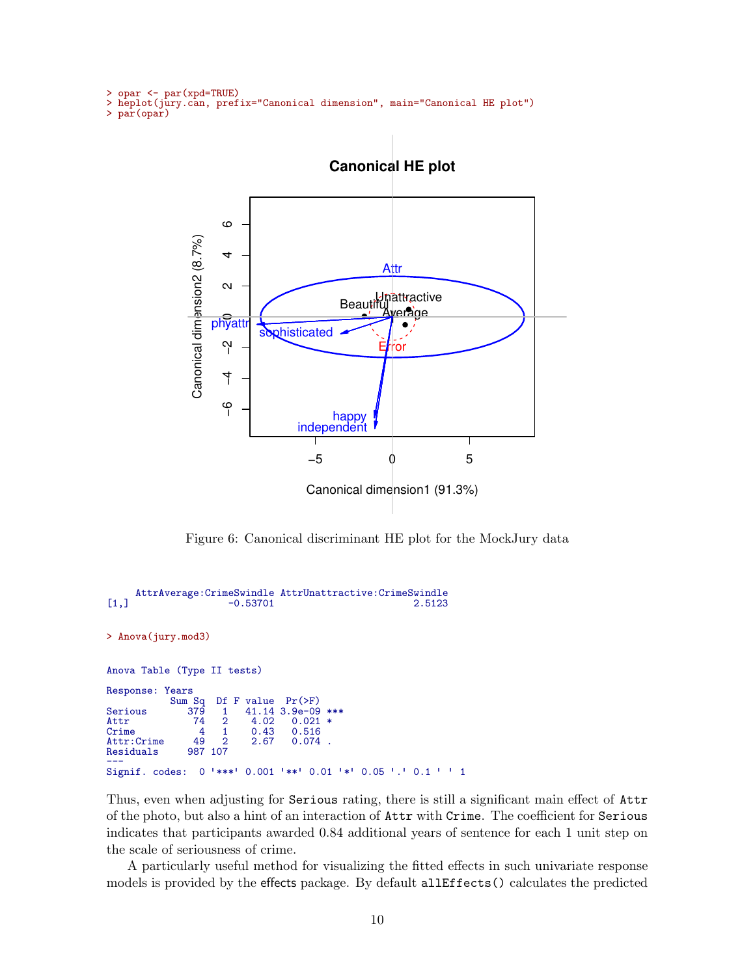```
> opar <- par(xpd=TRUE)
> heplot(jury.can, prefix="Canonical dimension", main="Canonical HE plot")
> par(opar)
```


<span id="page-9-0"></span>Figure 6: Canonical discriminant HE plot for the MockJury data

```
AttrAverage:CrimeSwindle AttrUnattractive:CrimeSwindle
[1,] -0.53701
> Anova(jury.mod3)
Anova Table (Type II tests)
Response: Years
              Sum Sq Df F value Pr(>F)<br>379 1 41.14 3.9e-09<br>74 2 4.02 0.021
Serious 379 1 41.14 3.9e-09 ***<br>Attr 74 2 4.02 0.021 *
                     \begin{array}{cccc} 74 & 2 & 4.02 & 0.021 \\ 4 & 1 & 0.43 & 0.516 \end{array}Crime 4 1 0.43 0.516<br>Attr:Crime 49 2 2.67 0.074
Attr:Crime 49 2<br>Residuals 987 107
Residuals
Signif. codes:
                     0 '***' 0.001 '**' 0.01 '*' 0.05 '.' 0.1 ' ' 1
```
Thus, even when adjusting for Serious rating, there is still a significant main effect of Attr of the photo, but also a hint of an interaction of Attr with Crime. The coefficient for Serious indicates that participants awarded 0.84 additional years of sentence for each 1 unit step on the scale of seriousness of crime.

A particularly useful method for visualizing the fitted effects in such univariate response models is provided by the effects package. By default allEffects() calculates the predicted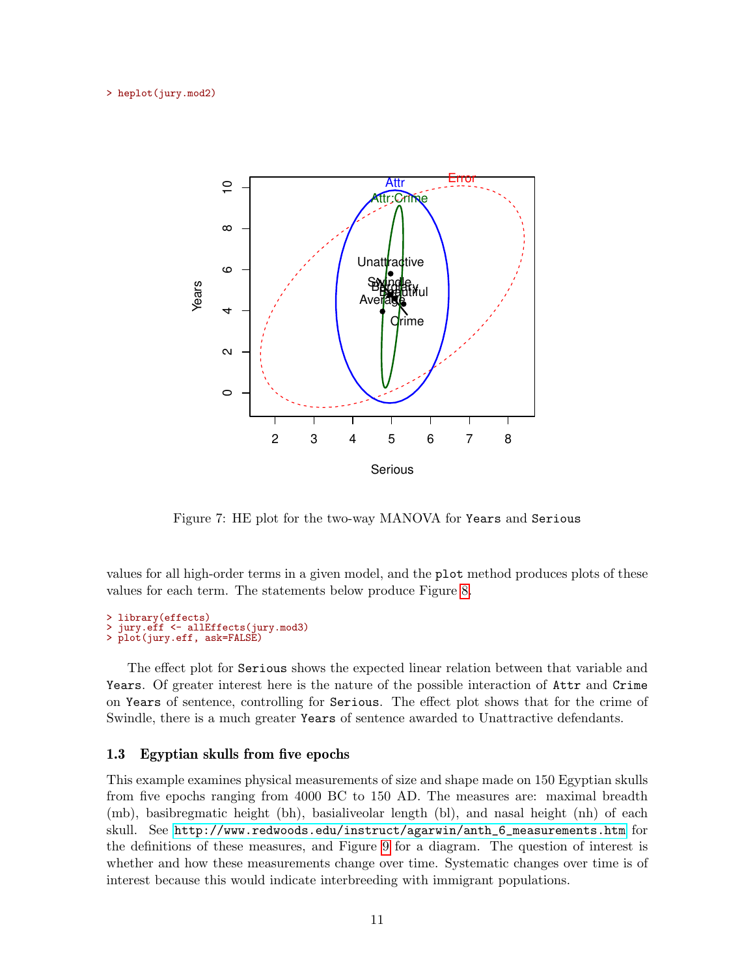

Figure 7: HE plot for the two-way MANOVA for Years and Serious

values for all high-order terms in a given model, and the plot method produces plots of these values for each term. The statements below produce Figure [8.](#page-11-0)

```
> library(effects)
 jury.eff <- allEffects(jury.mod3)
> plot(jury.eff, ask=FALSE)
```
The effect plot for Serious shows the expected linear relation between that variable and Years. Of greater interest here is the nature of the possible interaction of Attr and Crime on Years of sentence, controlling for Serious. The effect plot shows that for the crime of Swindle, there is a much greater Years of sentence awarded to Unattractive defendants.

### <span id="page-10-0"></span>1.3 Egyptian skulls from five epochs

This example examines physical measurements of size and shape made on 150 Egyptian skulls from five epochs ranging from 4000 BC to 150 AD. The measures are: maximal breadth (mb), basibregmatic height (bh), basialiveolar length (bl), and nasal height (nh) of each skull. See [http://www.redwoods.edu/instruct/agarwin/anth\\_6\\_measurements.htm](http://www.redwoods.edu/instruct/agarwin/anth_6_measurements.htm) for the definitions of these measures, and Figure [9](#page-12-0) for a diagram. The question of interest is whether and how these measurements change over time. Systematic changes over time is of interest because this would indicate interbreeding with immigrant populations.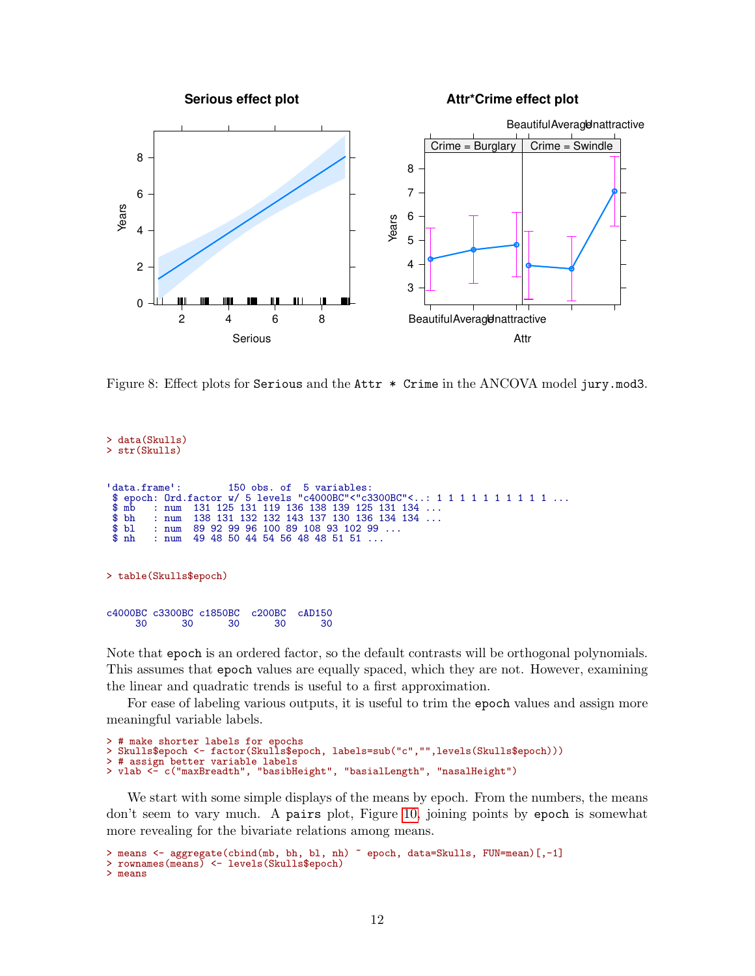

<span id="page-11-0"></span>Figure 8: Effect plots for Serious and the Attr  $*$  Crime in the ANCOVA model jury.mod3.

```
> data(Skulls)
> str(Skulls)
  data.frame': 150 obs. of 5 variables:
  $ epoch: Ord.factor w/ 5 levels "c4000BC"<"c3300BC"<..: 1 1 1 1 1 1 1 1 1 1 ...
 $ mb : num 131 125 131 119 136 138 139 125 131 134 ...<br>$ bh : num 138 131 132 132 143 137 130 136 134 134 ...
 $ \text{bh} \quad \text{num} \quad 138 \quad 131 \quad 132 \quad 132 \quad 143 \quad 137 \quad 130 \quad 136 \quad 134 \quad 134 \quad \dots$ }<br>$ \text{bl} \quad \text{num} \quad 89 \quad 92 \quad 99 \quad 96 \quad 100 \quad 89 \quad 108 \quad 93 \quad 102 \quad 99 \quad \dots$ }$ bl : num 89 92 99 96 100 89 108 93 102 99 ...
                        49 48 50 44 54 56 48 48 51 51 ...
> table(Skulls$epoch)
c4000BC c3300BC c1850BC c200BC cAD150<br>30 30 30 30 30 30
        30 30 30 30 30
```
Note that epoch is an ordered factor, so the default contrasts will be orthogonal polynomials. This assumes that epoch values are equally spaced, which they are not. However, examining the linear and quadratic trends is useful to a first approximation.

For ease of labeling various outputs, it is useful to trim the epoch values and assign more meaningful variable labels.

```
> # make shorter labels for epochs
> Skulls$epoch <- factor(Skulls$epoch, labels=sub("c","",levels(Skulls$epoch)))
 # assign better variable labels
> vlab <- c("maxBreadth", "basibHeight", "basialLength", "nasalHeight")
```
We start with some simple displays of the means by epoch. From the numbers, the means don't seem to vary much. A pairs plot, Figure [10,](#page-13-0) joining points by epoch is somewhat more revealing for the bivariate relations among means.

```
> means <- aggregate(cbind(mb, bh, bl, nh) ~ epoch, data=Skulls, FUN=mean)[,-1]
> rownames(means) <- levels(Skulls$epoch)
> means
```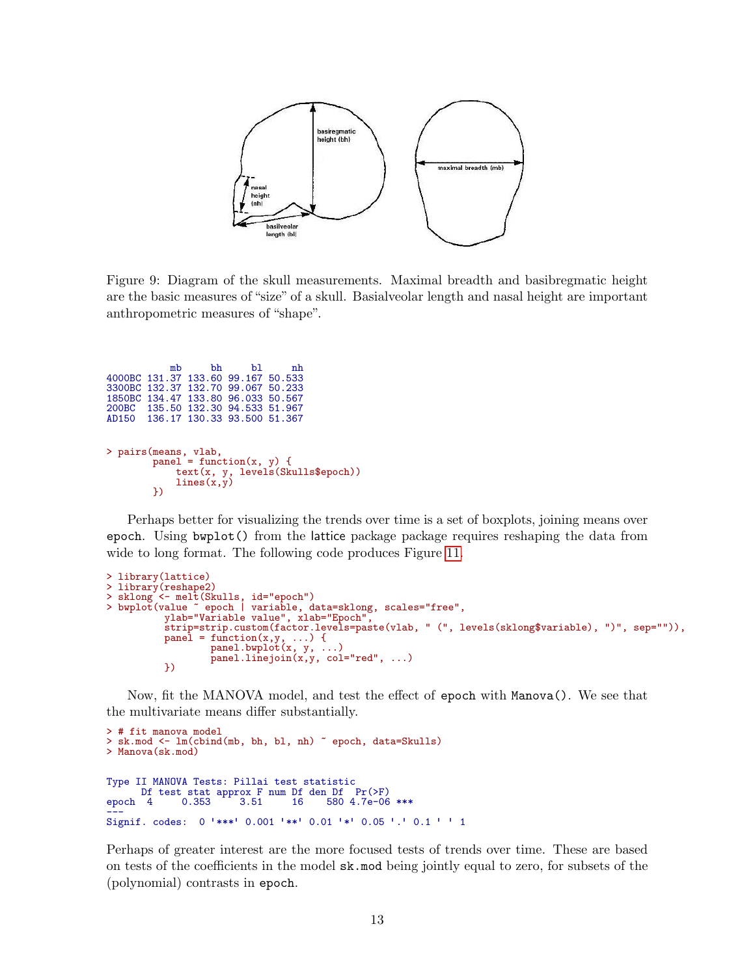

<span id="page-12-0"></span>Figure 9: Diagram of the skull measurements. Maximal breadth and basibregmatic height are the basic measures of "size" of a skull. Basialveolar length and nasal height are important anthropometric measures of "shape".

| mb                    | bh | b1                                 | nh |                                                                             |
|-----------------------|----|------------------------------------|----|-----------------------------------------------------------------------------|
|                       |    | 4000BC 131.37 133.60 99.167 50.533 |    |                                                                             |
|                       |    | 3300BC 132.37 132.70 99.067 50.233 |    |                                                                             |
|                       |    | 1850BC 134.47 133.80 96.033 50.567 |    |                                                                             |
|                       |    | 200BC 135.50 132.30 94.533 51.967  |    |                                                                             |
|                       |    | AD150 136.17 130.33 93.500 51.367  |    |                                                                             |
| > pairs (means, vlab, |    |                                    |    | panel = function(x, y) {<br>text(x, y, levels(Skulls\$epoch))<br>lines(x,y) |

Perhaps better for visualizing the trends over time is a set of boxplots, joining means over epoch. Using bwplot() from the lattice package package requires reshaping the data from wide to long format. The following code produces Figure [11.](#page-14-0)

```
> library(lattice)
> library(reshape2)
> sklong <- melt(Skulls, id="epoch")
> bwplot(value ~ epoch | variable, data=sklong, scales="free",
          ylab="Variable value", xlab="Epoch",
          strip=strip.custom(factor.levels=paste(vlab, " (", levels(sklong$variable), ")", sep="")),
          pane1 = function(x, y, ...) {
                  panel.bwplot(x, y, ...)
                  panel.linejoin(x,y, col="red", ...)
          })
```
Now, fit the MANOVA model, and test the effect of epoch with Manova(). We see that the multivariate means differ substantially.

```
> # fit manova model
 sk.mod <- lm(cbind(mb, bh, bl, nh) ~ epoch, data=Skulls)
> Manova(sk.mod)
Type II MANOVA Tests: Pillai test statistic
       Df test stat approx F num Df den Df Pr(>F)<br>4 0.353 3.51 16 580 4.7e-06
epoch 4 0.353 3.51 16 580 4.7e-06 ***
epocint = 0.000 3.01 10 300 ±.7€ 00 ***<br>——<br>Signif. codes: 0 '***' 0.001 '**' 0.01 '*' 0.05 '.' 0.1 ' ' 1
```
Perhaps of greater interest are the more focused tests of trends over time. These are based on tests of the coefficients in the model sk.mod being jointly equal to zero, for subsets of the (polynomial) contrasts in epoch.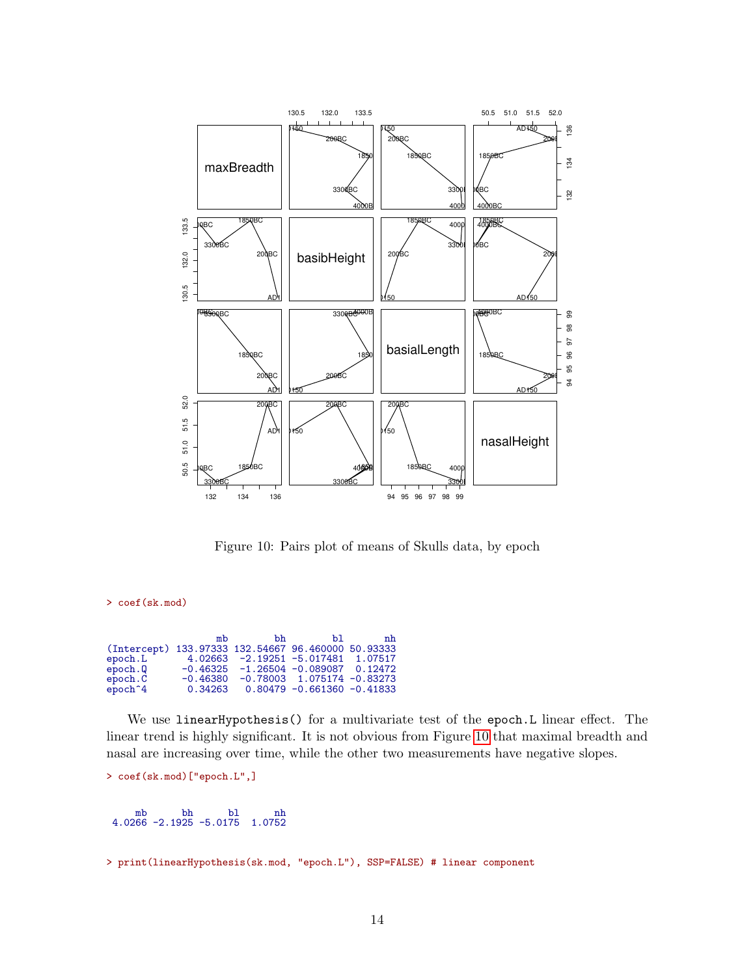

<span id="page-13-0"></span>Figure 10: Pairs plot of means of Skulls data, by epoch

> coef(sk.mod)

|                                                    | mb         | bh | ЪT                                     | nh |
|----------------------------------------------------|------------|----|----------------------------------------|----|
| (Intercept) 133.97333 132.54667 96.460000 50.93333 |            |    |                                        |    |
| epoch.L                                            |            |    | $4.02663 - 2.19251 - 5.017481$ 1.07517 |    |
| epoch. Q                                           |            |    | $-0.46325 -1.26504 -0.089087 0.12472$  |    |
| epoch.C                                            | $-0.46380$ |    | $-0.78003$ 1.075174 $-0.83273$         |    |
| epoch <sup>2</sup> 4                               | 0.34263    |    | $0.80479 - 0.661360 - 0.41833$         |    |

We use linearHypothesis() for a multivariate test of the epoch.L linear effect. The linear trend is highly significant. It is not obvious from Figure [10](#page-13-0) that maximal breadth and nasal are increasing over time, while the other two measurements have negative slopes.

```
> coef(sk.mod)["epoch.L",]
```
mb bh bl nh 4.0266 -2.1925 -5.0175 1.0752

> print(linearHypothesis(sk.mod, "epoch.L"), SSP=FALSE) # linear component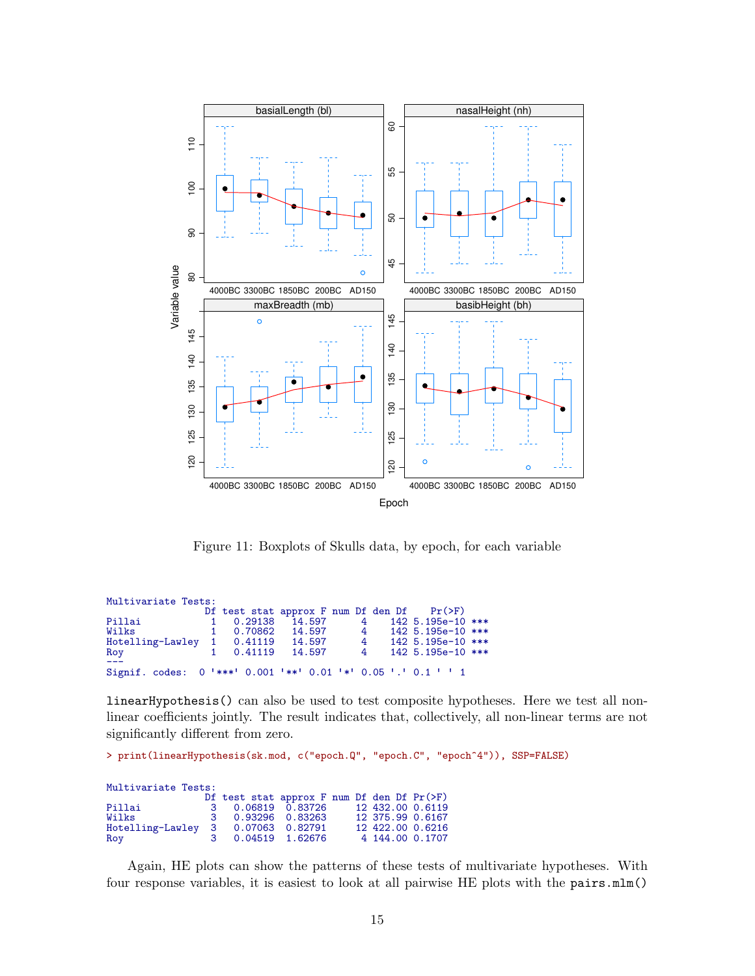

<span id="page-14-0"></span>Figure 11: Boxplots of Skulls data, by epoch, for each variable

| Multivariate Tests:                                           |              |                                                 |                |                |                     |  |
|---------------------------------------------------------------|--------------|-------------------------------------------------|----------------|----------------|---------------------|--|
|                                                               |              | Df test stat approx F num Df den Df $Pr(\ge F)$ |                |                |                     |  |
| Pillai                                                        |              | 1 0.29138 14.597                                |                |                | 4 142 5.195e-10 *** |  |
| Wilks                                                         | $\mathbf{1}$ |                                                 | 0.70862 14.597 | $\sim$ 4       | 142 5.195e-10 ***   |  |
| Hotelling-Lawley 1 0.41119 14.597                             |              |                                                 |                | $\overline{4}$ | $142 5.195e-10$ *** |  |
| Roy                                                           |              |                                                 | 0.41119 14.597 | $\overline{4}$ | 142 5.195e-10 ***   |  |
| Signif. codes: 0 '***' 0.001 '**' 0.01 '*' 0.05 '.' 0.1 ' ' 1 |              |                                                 |                |                |                     |  |

linearHypothesis() can also be used to test composite hypotheses. Here we test all nonlinear coefficients jointly. The result indicates that, collectively, all non-linear terms are not significantly different from zero.

> print(linearHypothesis(sk.mod, c("epoch.Q", "epoch.C", "epoch^4")), SSP=FALSE)

#### Multivariate Tests:

|                                    | Df test stat approx F num Df den Df $Pr(\ge F)$ |  |                  |  |
|------------------------------------|-------------------------------------------------|--|------------------|--|
| Pillai                             | 3 0.06819 0.83726                               |  | 12 432,00 0.6119 |  |
| Wilks                              | 3 0.93296 0.83263                               |  | 12 375.99 0.6167 |  |
| Hotelling-Lawley 3 0.07063 0.82791 |                                                 |  | 12 422,00 0.6216 |  |
| Roy                                | 3 0.04519 1.62676                               |  | 4 144,00 0.1707  |  |

Again, HE plots can show the patterns of these tests of multivariate hypotheses. With four response variables, it is easiest to look at all pairwise HE plots with the pairs.mlm()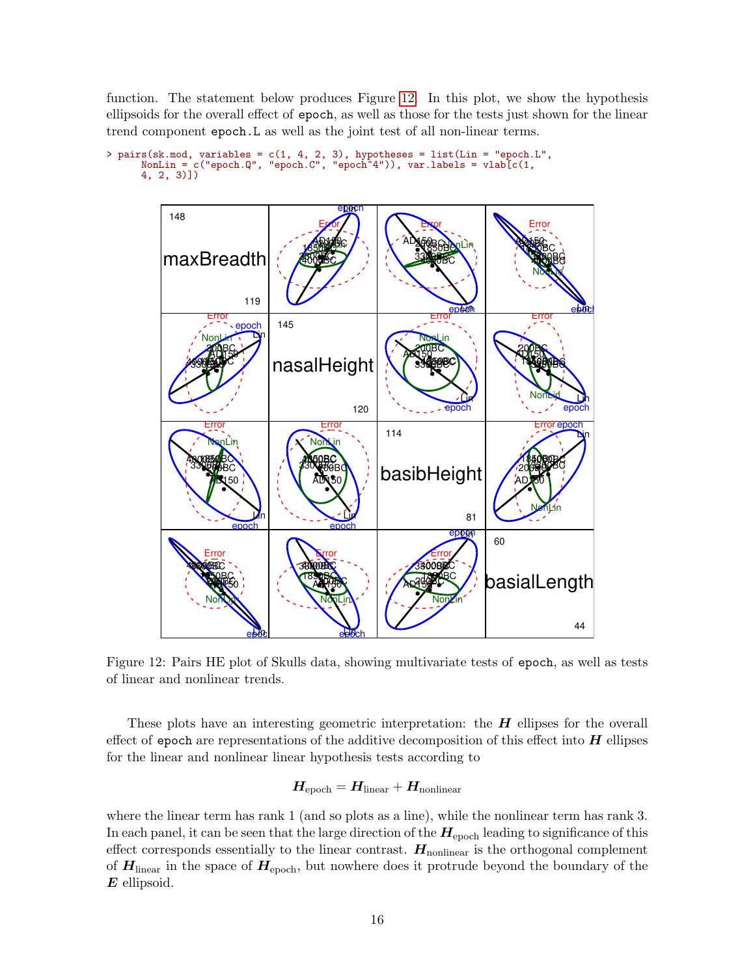function. The statement below produces Figure [12.](#page-15-0) In this plot, we show the hypothesis ellipsoids for the overall effect of epoch, as well as those for the tests just shown for the linear trend component epoch.L as well as the joint test of all non-linear terms.

```
> pairs(sk.mod, variables = c(1, 4, 2, 3), hypotheses = list(Lin = "epoch.L",
      NonLin = c("epoch.Q", "epoch.C", "epoch^4")), var.labels = vlab[c(1,
     4, 2, 3)])
```


<span id="page-15-0"></span>Figure 12: Pairs HE plot of Skulls data, showing multivariate tests of epoch, as well as tests of linear and nonlinear trends.

These plots have an interesting geometric interpretation: the  $H$  ellipses for the overall effect of epoch are representations of the additive decomposition of this effect into  $H$  ellipses for the linear and nonlinear linear hypothesis tests according to

$$
\boldsymbol{H}_{\text{epoch}} = \boldsymbol{H}_{\text{linear}} + \boldsymbol{H}_{\text{nonlinear}}
$$

where the linear term has rank 1 (and so plots as a line), while the nonlinear term has rank 3. In each panel, it can be seen that the large direction of the  $H_{\text{epoch}}$  leading to significance of this effect corresponds essentially to the linear contrast.  $H_{\text{nonlinear}}$  is the orthogonal complement of  $H_{\text{linear}}$  in the space of  $H_{\text{epoch}}$ , but nowhere does it protrude beyond the boundary of the E ellipsoid.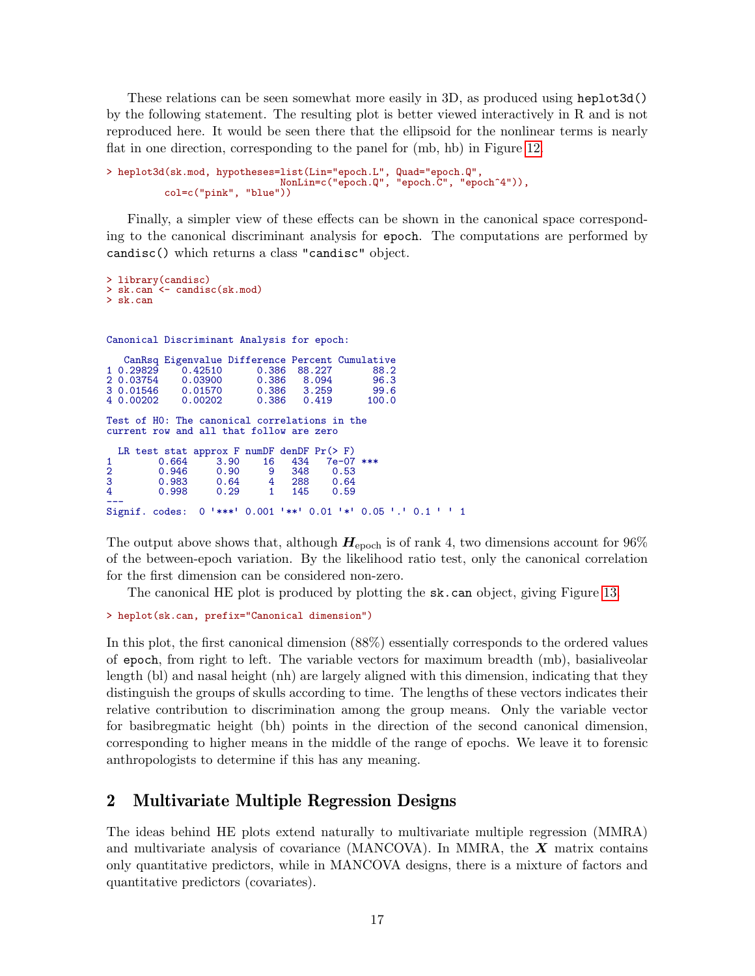These relations can be seen somewhat more easily in 3D, as produced using heplot3d() by the following statement. The resulting plot is better viewed interactively in R and is not reproduced here. It would be seen there that the ellipsoid for the nonlinear terms is nearly flat in one direction, corresponding to the panel for (mb, hb) in Figure [12.](#page-15-0)

```
> heplot3d(sk.mod, hypotheses=list(Lin="epoch.L", Quad="epoch.Q",
                              NonLin=c("epoch.Q", "epoch.C", "epoch^4")),
         col=c("pink", "blue"))
```
Finally, a simpler view of these effects can be shown in the canonical space corresponding to the canonical discriminant analysis for epoch. The computations are performed by candisc() which returns a class "candisc" object.

```
> library(candisc)
> sk.can <- candisc(sk.mod)
> sk.can
Canonical Discriminant Analysis for epoch:
  CanRsq Eigenvalue Difference Percent Cumulative
1 0.29829 0.42510 0.386 88.227 88.2
2 0.03754 0.03900 0.386 8.094 96.3
3 0.01546 0.01570 0.386 3.259 99.6
4 0.00202
Test of H0: The canonical correlations in the
current row and all that follow are zero
  LR test stat approx F numDF denDF Pr(> F)<br>0.664 3.90 16 434 7e-07
1 0.664 3.90 16 434 7e-07 ***<br>2 0.946 0.90 9 348 0.53
2 0.946 0.90 9 348 0.53
3 0.983 0.64 4 288 0.64
4 0.998 0.29 1 145 0.59
---
Signif. codes: 0 ✬***✬ 0.001 ✬**✬ 0.01 ✬*✬ 0.05 ✬.✬ 0.1 ✬ ✬ 1
```
The output above shows that, although  $H_{\text{epoch}}$  is of rank 4, two dimensions account for 96% of the between-epoch variation. By the likelihood ratio test, only the canonical correlation for the first dimension can be considered non-zero.

The canonical HE plot is produced by plotting the sk.can object, giving Figure [13.](#page-17-1)

```
> heplot(sk.can, prefix="Canonical dimension")
```
In this plot, the first canonical dimension (88%) essentially corresponds to the ordered values of epoch, from right to left. The variable vectors for maximum breadth (mb), basialiveolar length (bl) and nasal height (nh) are largely aligned with this dimension, indicating that they distinguish the groups of skulls according to time. The lengths of these vectors indicates their relative contribution to discrimination among the group means. Only the variable vector for basibregmatic height (bh) points in the direction of the second canonical dimension, corresponding to higher means in the middle of the range of epochs. We leave it to forensic anthropologists to determine if this has any meaning.

# <span id="page-16-0"></span>2 Multivariate Multiple Regression Designs

The ideas behind HE plots extend naturally to multivariate multiple regression (MMRA) and multivariate analysis of covariance (MANCOVA). In MMRA, the  $\boldsymbol{X}$  matrix contains only quantitative predictors, while in MANCOVA designs, there is a mixture of factors and quantitative predictors (covariates).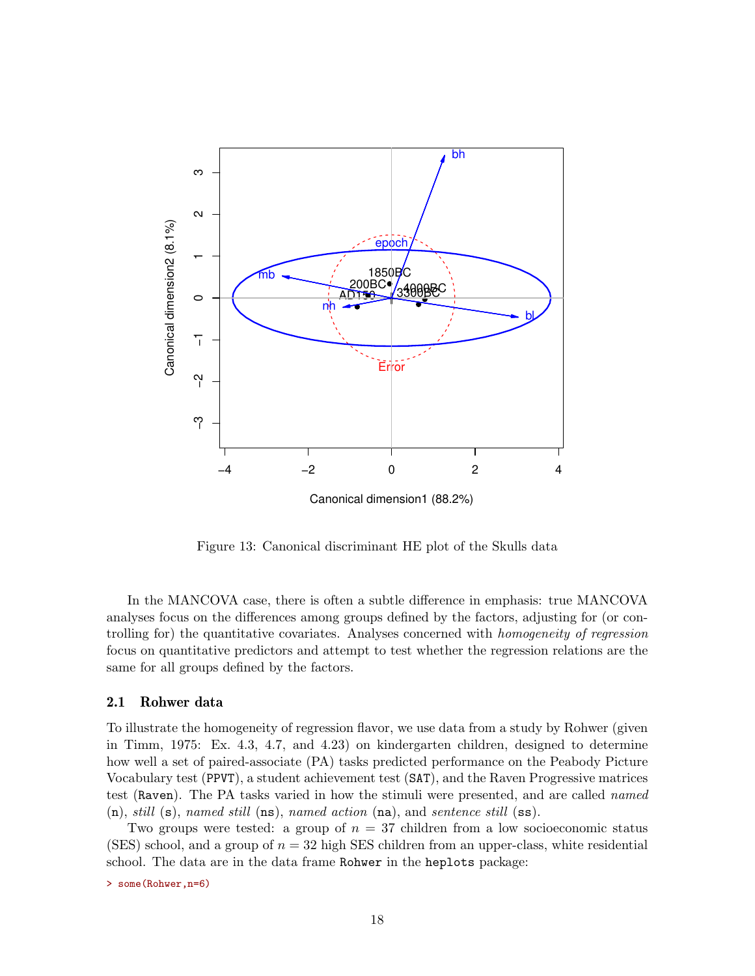

<span id="page-17-1"></span>Figure 13: Canonical discriminant HE plot of the Skulls data

In the MANCOVA case, there is often a subtle difference in emphasis: true MANCOVA analyses focus on the differences among groups defined by the factors, adjusting for (or controlling for) the quantitative covariates. Analyses concerned with homogeneity of regression focus on quantitative predictors and attempt to test whether the regression relations are the same for all groups defined by the factors.

### <span id="page-17-0"></span>2.1 Rohwer data

To illustrate the homogeneity of regression flavor, we use data from a study by Rohwer (given in Timm, 1975: Ex. 4.3, 4.7, and 4.23) on kindergarten children, designed to determine how well a set of paired-associate (PA) tasks predicted performance on the Peabody Picture Vocabulary test (PPVT), a student achievement test (SAT), and the Raven Progressive matrices test (Raven). The PA tasks varied in how the stimuli were presented, and are called named  $(n)$ , still  $(s)$ , named still  $(ns)$ , named action  $(na)$ , and sentence still  $(ss)$ .

Two groups were tested: a group of  $n = 37$  children from a low socioeconomic status (SES) school, and a group of  $n = 32$  high SES children from an upper-class, white residential school. The data are in the data frame Rohwer in the heplots package:

> some(Rohwer,n=6)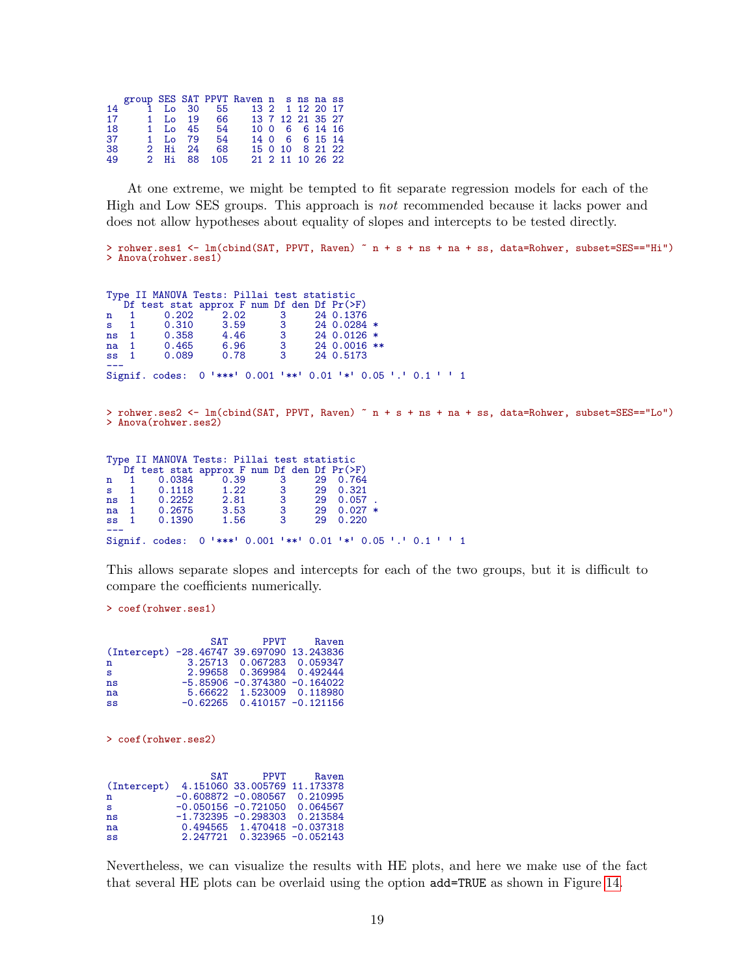| 18 |  |                                        |             |  |                                                                                                                                                                                     |
|----|--|----------------------------------------|-------------|--|-------------------------------------------------------------------------------------------------------------------------------------------------------------------------------------|
| 37 |  |                                        |             |  |                                                                                                                                                                                     |
|    |  |                                        |             |  |                                                                                                                                                                                     |
|    |  |                                        |             |  |                                                                                                                                                                                     |
|    |  | 1 Lo 45 54<br>1 Lo 79 54<br>2 Hi 24 68 | 2 Hi 88 105 |  | group SES SAT PPVT Raven n s ns na ss<br>14 1 Lo 30 55 13 2 1 12 20 17<br>17 1 Lo 19 66 13 7 12 21 35 27<br>10 0 6 6 14 16<br>14 0 6 6 15 14<br>15 0 10 8 21 22<br>21 2 11 10 26 22 |

At one extreme, we might be tempted to fit separate regression models for each of the High and Low SES groups. This approach is not recommended because it lacks power and does not allow hypotheses about equality of slopes and intercepts to be tested directly.

```
> rohwer.ses1 <- lm(cbind(SAT, PPVT, Raven) ~ n + s + ns + na + ss, data=Rohwer, subset=SES=="Hi")
> Anova(rohwer.ses1)
```
Type II MANOVA Tests: Pillai test statistic Df test stat approx F num Df den Df Pr(>F)<br>1 0.202 2.02 3 24 0.1376 n 1 0.202 2.02 3 24 0.1376<br>s 1 0.310 3.59 3 24 0.0284 s 1 0.310 3.59 3 24 0.0284 \* ns 1 0.358 4.46 3 24 0.0126 \* na 1 0.465 6.96 3 24 0.0016 \*\*<br>ss 1 0.089 0.78 3 24 0.5173 24 0.5173 --- Signif. codes: 0 ✬\*\*\*✬ 0.001 ✬\*\*✬ 0.01 ✬\*✬ 0.05 ✬.✬ 0.1 ✬ ✬ <sup>1</sup> > rohwer.ses2 <- lm(cbind(SAT, PPVT, Raven) ~ n + s + ns + na + ss, data=Rohwer, subset=SES=="Lo") > Anova(rohwer.ses2) Type II MANOVA Tests: Pillai test statistic Df test stat approx F num Df den Df Pr(>F)<br>1 0.0384 0.39 3 29 0.764<br>1 0.1118 1.22 3 29 0.321 n 1 0.0384 0.39 3 29 0.764<br>s 1 0.1118 1.22 3 29 0.321 s 1 0.1118 1.22 3 29 0.321  $\begin{array}{cccccc} 1 & 0.2252 & 2.81 & 3 & 29 & 0.057 \\ 1 & 0.2675 & 3.53 & 3 & 29 & 0.027 \end{array}$ na 1 0.2675 3.53 3 29 0.027<br>ss 1 0.1390 1.56 3 29 0.220 0.1390

This allows separate slopes and intercepts for each of the two groups, but it is difficult to compare the coefficients numerically.

> coef(rohwer.ses1)

|  | PPVT Raven                                                                                                                                                                                                          |
|--|---------------------------------------------------------------------------------------------------------------------------------------------------------------------------------------------------------------------|
|  |                                                                                                                                                                                                                     |
|  |                                                                                                                                                                                                                     |
|  |                                                                                                                                                                                                                     |
|  |                                                                                                                                                                                                                     |
|  |                                                                                                                                                                                                                     |
|  |                                                                                                                                                                                                                     |
|  | <b>SAT</b><br>(Intercept) -28.46747 39.697090 13.243836<br>3.25713 0.067283 0.059347<br>2.99658 0.369984 0.492444<br>$-5.85906 -0.374380 -0.164022$<br>5.66622 1.523009 0.118980<br>$-0.62265$ 0.410157 $-0.121156$ |

--- Signif. codes: 0 ✬\*\*\*✬ 0.001 ✬\*\*✬ 0.01 ✬\*✬ 0.05 ✬.✬ 0.1 ✬ ✬ <sup>1</sup>

> coef(rohwer.ses2)

|             | SAT | <b>PPVT</b>                     | Raven |
|-------------|-----|---------------------------------|-------|
| (Intercept) |     | 4.151060 33.005769 11.173378    |       |
| n           |     | $-0.608872 -0.080567 0.210995$  |       |
| s           |     | $-0.050156 - 0.721050 0.064567$ |       |
| ns          |     | $-1.732395 -0.298303 0.213584$  |       |
| na          |     | 0.494565 1.470418 -0.037318     |       |
| SS          |     | 2.247721 0.323965 -0.052143     |       |

Nevertheless, we can visualize the results with HE plots, and here we make use of the fact that several HE plots can be overlaid using the option add=TRUE as shown in Figure [14.](#page-19-0)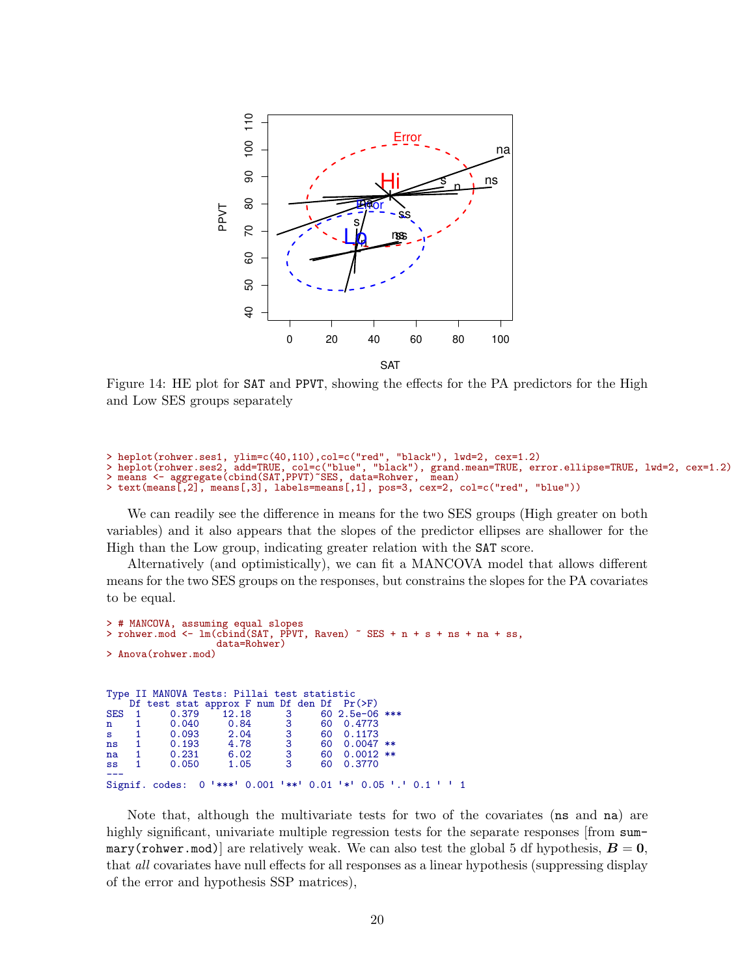

<span id="page-19-0"></span>Figure 14: HE plot for SAT and PPVT, showing the effects for the PA predictors for the High and Low SES groups separately

```
> heplot(rohwer.ses1, ylim=c(40,110),col=c("red", "black"), lwd=2, cex=1.2)
> heplot(rohwer.ses2, add=TRUE, col=c("blue", "black"), grand.mean=TRUE, error.ellipse=TRUE, lwd=2, cex=1.2)
> means <- aggregate(cbind(SAT,PPVT)~SES, data=Rohwer, mean)
```

```
> text(means[,2], means[,3], labels=means[,1], pos=3, cex=2, col=c("red", "blue"))
```
We can readily see the difference in means for the two SES groups (High greater on both variables) and it also appears that the slopes of the predictor ellipses are shallower for the High than the Low group, indicating greater relation with the SAT score.

Alternatively (and optimistically), we can fit a MANCOVA model that allows different means for the two SES groups on the responses, but constrains the slopes for the PA covariates to be equal.

```
> # MANCOVA, assuming equal slopes
 rohwer.mod \leq lm(cbind(SAT, PPVT, Raven) \degree SES + n + s + ns + na + ss,
                       data=Rohwer)
> Anova(rohwer.mod)
Type II MANOVA Tests: Pillai test statistic<br>Df test stat approx F num Df den Df Pr(>F)
        test stat approx F num Df den Df<br>0.379 12.18 3 60SES 1 0.379 12.18 3 60 2.5e-06 ***<br>n 1 0.040 0.84 3 60 0.4773
n 1 0.040 0.84 3 60 0.4773<br>s 1 0.093 2.04 3 60 0.1173
s 1 0.093 2.04 3 60 0.1173<br>ns 1 0.193 4.78 3 60 0.0047
ns 1 0.193 4.78 3 60 0.0047 **
      \begin{array}{cccccc} 1 & 0.231 & 6.02 & 3 & 60 & 0.0012 \\ 1 & 0.050 & 1.05 & 3 & 60 & 0.3770 \end{array}ss 1 0.050 1.05 3 60 0.3770
---
Signif. codes: 0 ✬***✬ 0.001 ✬**✬ 0.01 ✬*✬ 0.05 ✬.✬ 0.1 ✬ ✬ 1
```
Note that, although the multivariate tests for two of the covariates (ns and na) are highly significant, univariate multiple regression tests for the separate responses [from summary(rohwer.mod)] are relatively weak. We can also test the global 5 df hypothesis,  $B = 0$ , that all covariates have null effects for all responses as a linear hypothesis (suppressing display of the error and hypothesis SSP matrices),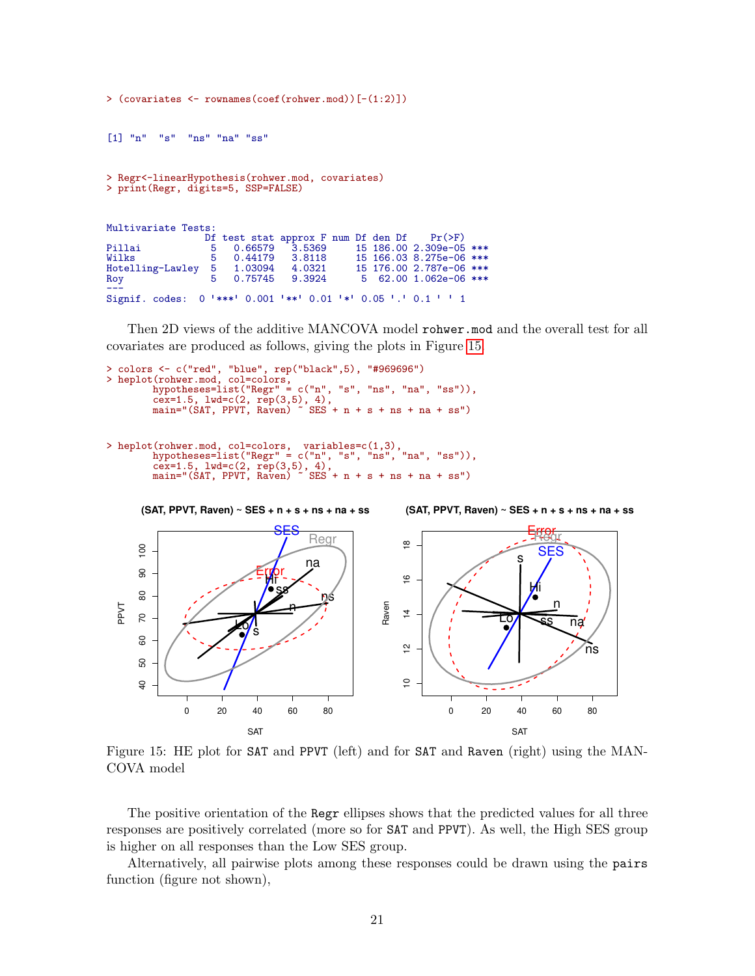[1] "n" "s" "ns" "na" "ss" > Regr<-linearHypothesis(rohwer.mod, covariates) > print(Regr, digits=5, SSP=FALSE)

> (covariates <- rownames(coef(rohwer.mod))[-(1:2)])

| Multivariate Tests:                                           |                                                 |  |                         |  |
|---------------------------------------------------------------|-------------------------------------------------|--|-------------------------|--|
|                                                               | Df test stat approx F num Df den Df $Pr(\ge F)$ |  |                         |  |
| Pillai                                                        | 5   0.66579   3.5369                            |  | 15 186.00 2.309e-05 *** |  |
| Wilks                                                         | 5 0.44179 3.8118                                |  | 15 166.03 8.275e-06 *** |  |
| Hotelling-Lawley 5 1.03094 4.0321                             |                                                 |  | 15 176.00 2.787e-06 *** |  |
| Roy                                                           | 5 0.75745 9.3924                                |  | 5 62.00 1.062e-06 ***   |  |
|                                                               |                                                 |  |                         |  |
| Signif. codes: 0 '***' 0.001 '**' 0.01 '*' 0.05 '.' 0.1 ' ' 1 |                                                 |  |                         |  |

Then 2D views of the additive MANCOVA model rohwer.mod and the overall test for all covariates are produced as follows, giving the plots in Figure [15.](#page-20-0)

```
> colors <- c("red", "blue", rep("black",5), "#969696")
> heplot(rohwer.mod, col=colors,<br>hypotheses=list("Regr" =
                                     c("n", "s", "ns", "na", "ss")),
         cex=1.5, lwd=c(2, rep(3,5), 4),
         main="(SAT, PPVT, Raven) ~ SES + n + s + ns + na + ss")
```

```
> heplot(rohwer.mod, col=colors, variables=c(1,3),
           hypotheses=list("Regr" = c("n", "s", "ns", "na", "ss")),
          rypotheses-1150, cos-160, cos-160, cos-161, cos-161, cos-161, sin =" (SAT, PPVT, Raven) \degree SES
                                                SES + n + s + ns + na + ss"
```


<span id="page-20-0"></span>Figure 15: HE plot for SAT and PPVT (left) and for SAT and Raven (right) using the MAN-COVA model

The positive orientation of the Regr ellipses shows that the predicted values for all three responses are positively correlated (more so for SAT and PPVT). As well, the High SES group is higher on all responses than the Low SES group.

Alternatively, all pairwise plots among these responses could be drawn using the pairs function (figure not shown),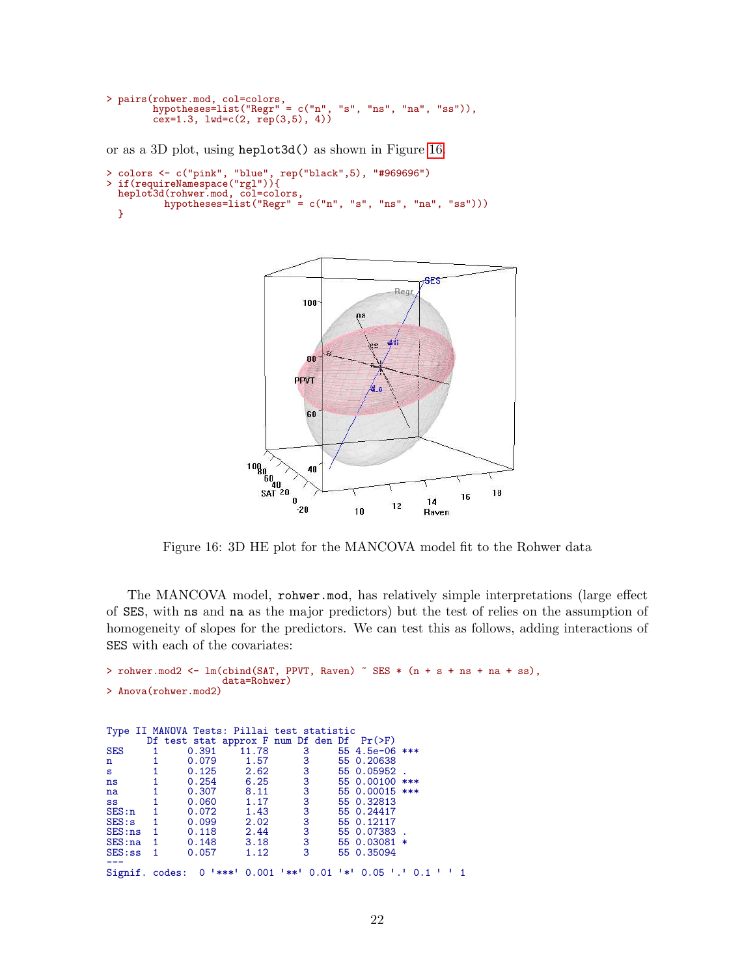```
> pairs(rohwer.mod, col=colors,
        hypotheses=list("Regr" = c("n", "s", "ns", "na", "ss")),
       cex=1.3, 1wd=c(2, rep(3,5), 4)
```
or as a 3D plot, using heplot3d() as shown in Figure [16.](#page-21-0)

```
> colors <- c("pink", "blue", rep("black",5), "#969696")
> if(requireNamespace("rgl")){
 heplot3d(rohwer.mod, col=colors,
         hypotheses=list("Regr" = c("n", "s", "ns", "na", "ss")))
 }
```


<span id="page-21-0"></span>Figure 16: 3D HE plot for the MANCOVA model fit to the Rohwer data

The MANCOVA model, rohwer.mod, has relatively simple interpretations (large effect of SES, with ns and na as the major predictors) but the test of relies on the assumption of homogeneity of slopes for the predictors. We can test this as follows, adding interactions of SES with each of the covariates:

```
> rohwer.mod2 <- lm(cbind(SAT, PPUT, Raven) \tilde{E} SES * (n + s + ns + na + ss),
                        data=Rohwer)
> Anova(rohwer.mod2)
Type II MANOVA Tests: Pillai test statistic
         Df test stat approx F num Df den Df Pr(>F)
SES 1 0.391 11.78 3 55 4.5e-06 ***<br>n 1 0.079 1.57 3 55 0.20638
n 1 0.079 1.57 3 55 0.20638<br>s 1 0.125 2.62 3 55 0.05952
s 1 0.125 2.62 3 55 0.05952<br>ns 1 0.254 6.25 3 55 0.00100
ns 1 0.254 6.25 3 55 0.00100 ***<br>na 1 0.307 8.11 3 55 0.00015 ***
na 1 0.307 8.11 3 55 0.00015 ***<br>ss 1 0.060 1.17 3 55 0.32813
ss 1 0.060 1.17 3 55 0.32813
SES:n 1 0.072 1.43 3 55 0.24417<br>SES:s 1 0.099 2.02 3 55 0.12117<br>SES:ns 1 0.118 2.44 3 55 0.07383
SES:s 1 0.099 2.02 3 55 0.12117<br>SES:ns 1 0.118 2.44 3 55 0.07383
SES:ns 1 0.118 2.44 3 55 0.07383.<br>SES:na 1 0.148 3.18 3 55 0.03081 *
SES:na 1 0.148 3.18 3 55 0.03081<br>SES:ss 1 0.057 1.12 3 55 0.35094
                                                55 0.35094
---
Signif. codes: 0 ✬***✬ 0.001 ✬**✬ 0.01 ✬*✬ 0.05 ✬.✬ 0.1 ✬ ✬ 1
```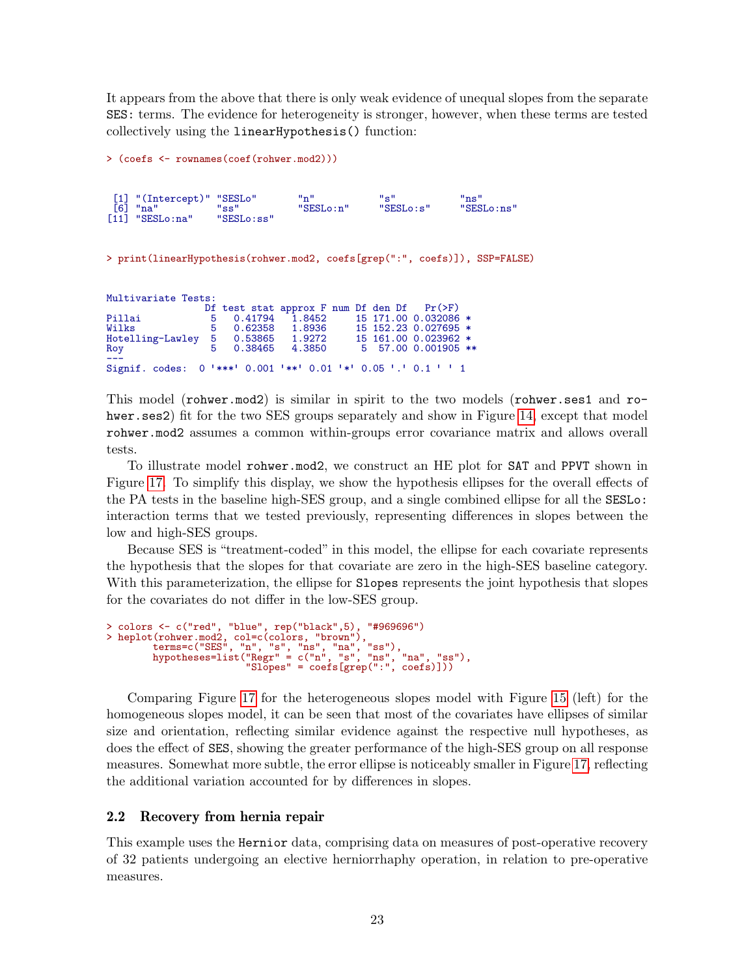It appears from the above that there is only weak evidence of unequal slopes from the separate SES: terms. The evidence for heterogeneity is stronger, however, when these terms are tested collectively using the linearHypothesis() function:

```
> (coefs <- rownames(coef(rohwer.mod2)))
 [1] "(Intercept)" "SESLo" "n" "s" "ns"
                      [6] "na" "ss" "SESLo:n" "SESLo:s" "SESLo:ns"
[11] "SESLo:na"
> print(linearHypothesis(rohwer.mod2, coefs[grep(":", coefs)]), SSP=FALSE)
Multivariate Tests:<br>Df
                    0f test stat approx F num Df den Df Pr(>F)<br>5 0.41794 1.8452 15 171.00 0.032086
Pillai 5 0.41794 1.8452 15 171.00 0.032086 *
Wilks 5 0.62358 1.8936 15 152.23 0.027695 *<br>Hotelling-Lawley 5 0.53865 1.9272 15 161.00 0.023962 *
                     \begin{array}{cccc} 5 & 0.53865 & 1.9272 & 15 & 161.00 & 0.023962 * \\ 5 & 0.38465 & 4.3850 & 5 & 57.00 & 0.001905 * \end{array}Roy 5 0.38465 4.3850 5 57.00 0.001905 **
---
Signif. codes: 0 ✬***✬ 0.001 ✬**✬ 0.01 ✬*✬ 0.05 ✬.✬ 0.1 ✬ ✬ 1
```
This model (rohwer.mod2) is similar in spirit to the two models (rohwer.ses1 and ro-hwer.ses2) fit for the two SES groups separately and show in Figure [14,](#page-19-0) except that model rohwer.mod2 assumes a common within-groups error covariance matrix and allows overall tests.

To illustrate model rohwer.mod2, we construct an HE plot for SAT and PPVT shown in Figure [17.](#page-23-0) To simplify this display, we show the hypothesis ellipses for the overall effects of the PA tests in the baseline high-SES group, and a single combined ellipse for all the SESLo: interaction terms that we tested previously, representing differences in slopes between the low and high-SES groups.

Because SES is "treatment-coded" in this model, the ellipse for each covariate represents the hypothesis that the slopes for that covariate are zero in the high-SES baseline category. With this parameterization, the ellipse for Slopes represents the joint hypothesis that slopes for the covariates do not differ in the low-SES group.

```
> colors <- c("red", "blue", rep("black",5), "#969696")
> heplot(rohwer.mod2, col=c(colors, "brown"),
        terms=c("SES", "n", "s", "ns", "na", "ss"),
        hypotheses=list("Regr" = c("n", "s", "ns", "na", "ss"),
                        "Slopes" = coefs[grep(":", coefs)]))
```
Comparing Figure [17](#page-23-0) for the heterogeneous slopes model with Figure [15](#page-20-0) (left) for the homogeneous slopes model, it can be seen that most of the covariates have ellipses of similar size and orientation, reflecting similar evidence against the respective null hypotheses, as does the effect of SES, showing the greater performance of the high-SES group on all response measures. Somewhat more subtle, the error ellipse is noticeably smaller in Figure [17,](#page-23-0) reflecting the additional variation accounted for by differences in slopes.

# <span id="page-22-0"></span>2.2 Recovery from hernia repair

This example uses the Hernior data, comprising data on measures of post-operative recovery of 32 patients undergoing an elective herniorrhaphy operation, in relation to pre-operative measures.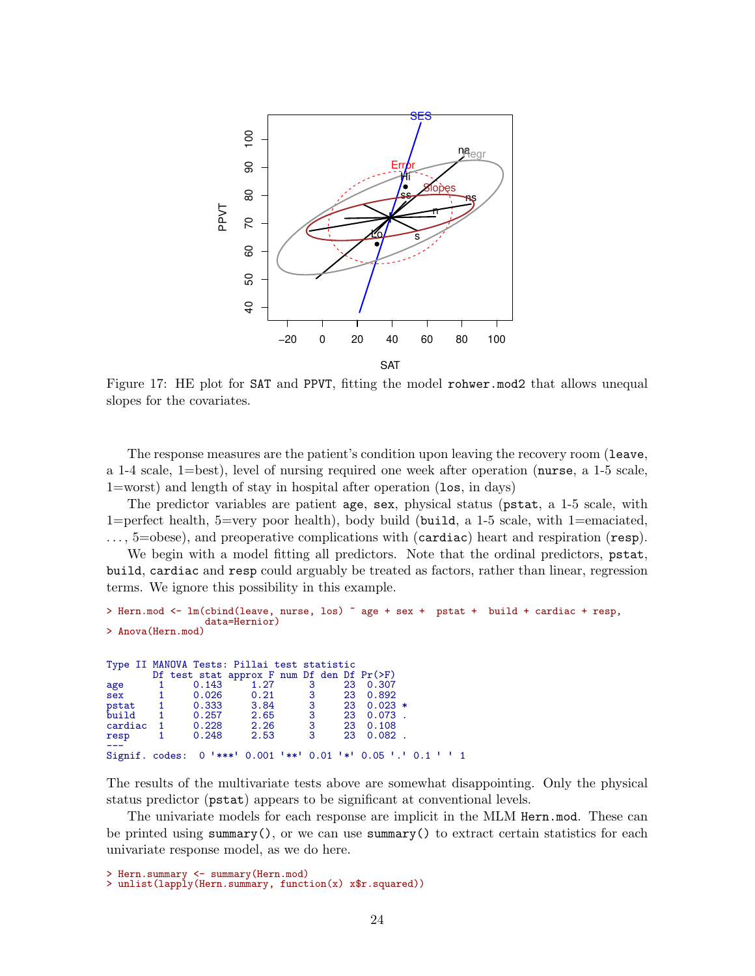

<span id="page-23-0"></span>Figure 17: HE plot for **SAT** and **PPVT**, fitting the model **rohwer** mod2 that allows unequal slopes for the covariates.

The response measures are the patient's condition upon leaving the recovery room (leave, a 1-4 scale, 1=best), level of nursing required one week after operation (nurse, a 1-5 scale, 1=worst) and length of stay in hospital after operation (los, in days)

The predictor variables are patient age, sex, physical status (pstat, a 1-5 scale, with 1=perfect health, 5=very poor health), body build (build, a 1-5 scale, with 1=emaciated, . . . , 5=obese), and preoperative complications with (cardiac) heart and respiration (resp).

We begin with a model fitting all predictors. Note that the ordinal predictors,  $pstat$ , build, cardiac and resp could arguably be treated as factors, rather than linear, regression terms. We ignore this possibility in this example.

```
> Hern.mod <- lm(cbind(leave, nurse, los) ~ age + sex + pstat + build + cardiac + resp,
              data=Hernior)
> Anova(Hern.mod)
Type II MANOVA Tests: Pillai test statistic
      Df test stat approx F num Df den Df Pr(>F)
age 1 0.143 1.27 3 23 0.307
sex 1 0.026 0.21 3 23 0.892
pstat 1 0.333 3.84 3 23 0.023 *
build 1 0.257 2.65 3 23 0.073 .
cardiac 1 0.228 2.26 3 23 0.108
resp 1 0.248 2.53 3 23 0.082 .
resp 1<br>---<br>Signif. codes:
             0 *** 0.001 *** 0.01 ** 0.05 .005 .1 0.1 * 1
```
The results of the multivariate tests above are somewhat disappointing. Only the physical status predictor (pstat) appears to be significant at conventional levels.

The univariate models for each response are implicit in the MLM Hern.mod. These can be printed using summary(), or we can use summary() to extract certain statistics for each univariate response model, as we do here.

```
> Hern.summary <- summary(Hern.mod)
```
> unlist(lapply(Hern.summary, function(x) x\$r.squared))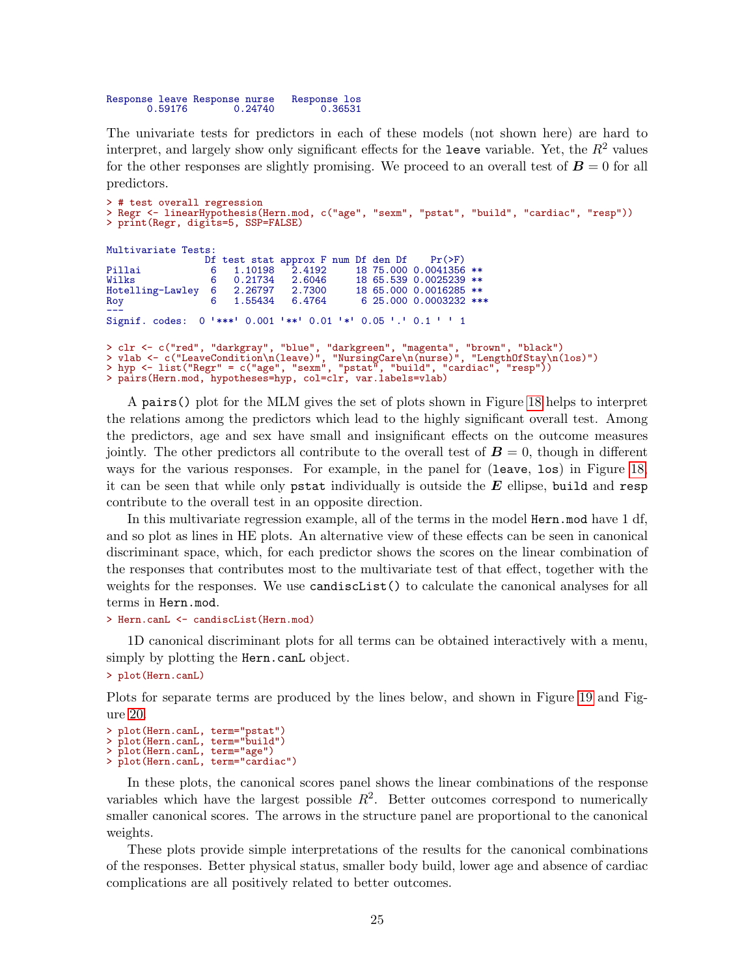Response leave Response nurse Response los 0.24740

The univariate tests for predictors in each of these models (not shown here) are hard to interpret, and largely show only significant effects for the leave variable. Yet, the  $R^2$  values for the other responses are slightly promising. We proceed to an overall test of  $\mathbf{B} = 0$  for all predictors.

```
> # test overall regression
> Regr <- linearHypothesis(Hern.mod, c("age", "sexm", "pstat", "build", "cardiac", "resp"))
> print(Regr, digits=5, SSP=FALSE)
Multivariate Tests:
                  Df test stat approx F num Df den Df Pr(>F)<br>6 1.10198 2.4192 18 75.000 0.0041356
Pillai 6 1.10198 2.4192 18 75.000 0.0041356 **
Wilks 6 0.21734 2.6046 18 65.539 0.0025239 **<br>Hotelling-Lawley 6 2.26797 2.7300 18 65.000 0.0016285 **
                    6 2.26797 2.7300 18 65.000 0.0016285 **<br>6 1.55434 6.4764 6 25.000 0.0003232 **
Roy 6 1.55434 6.4764 6 25.000 0.0003232 ***
.ωσ.<br>---<br>Signif. codes: 0 '***' 0.001 '**' 0.01 '*' 0.05 '.' 0.1 '' 1
> clr <- c("red", "darkgray", "blue", "darkgreen", "magenta", "brown", "black")
> vlab <- c("LeaveCondition\n(leave)", "NursingCare\n(nurse)", "LengthOfStay\n(los)")
> hyp <- list("Regr" = c("age", "sexm", "pstat", "build", "cardiac", "resp"))
> pairs(Hern.mod, hypotheses=hyp, col=clr, var.labels=vlab)
```
A pairs() plot for the MLM gives the set of plots shown in Figure [18](#page-25-1) helps to interpret the relations among the predictors which lead to the highly significant overall test. Among the predictors, age and sex have small and insignificant effects on the outcome measures jointly. The other predictors all contribute to the overall test of  $\mathbf{B} = 0$ , though in different ways for the various responses. For example, in the panel for (leave, los) in Figure [18,](#page-25-1) it can be seen that while only pstat individually is outside the  $E$  ellipse, build and resp contribute to the overall test in an opposite direction.

In this multivariate regression example, all of the terms in the model Hern.mod have 1 df, and so plot as lines in HE plots. An alternative view of these effects can be seen in canonical discriminant space, which, for each predictor shows the scores on the linear combination of the responses that contributes most to the multivariate test of that effect, together with the weights for the responses. We use candiscList() to calculate the canonical analyses for all terms in Hern.mod.

```
> Hern.canL <- candiscList(Hern.mod)
```
1D canonical discriminant plots for all terms can be obtained interactively with a menu, simply by plotting the Hern.canL object.

```
> plot(Hern.canL)
```
Plots for separate terms are produced by the lines below, and shown in Figure [19](#page-26-0) and Figure [20.](#page-26-1)

```
> plot(Hern.canL, term="pstat")
> plot(Hern.canL, term="build")
> plot(Hern.canL, term="age")
> plot(Hern.canL, term="cardiac")
```
In these plots, the canonical scores panel shows the linear combinations of the response variables which have the largest possible  $R^2$ . Better outcomes correspond to numerically smaller canonical scores. The arrows in the structure panel are proportional to the canonical weights.

These plots provide simple interpretations of the results for the canonical combinations of the responses. Better physical status, smaller body build, lower age and absence of cardiac complications are all positively related to better outcomes.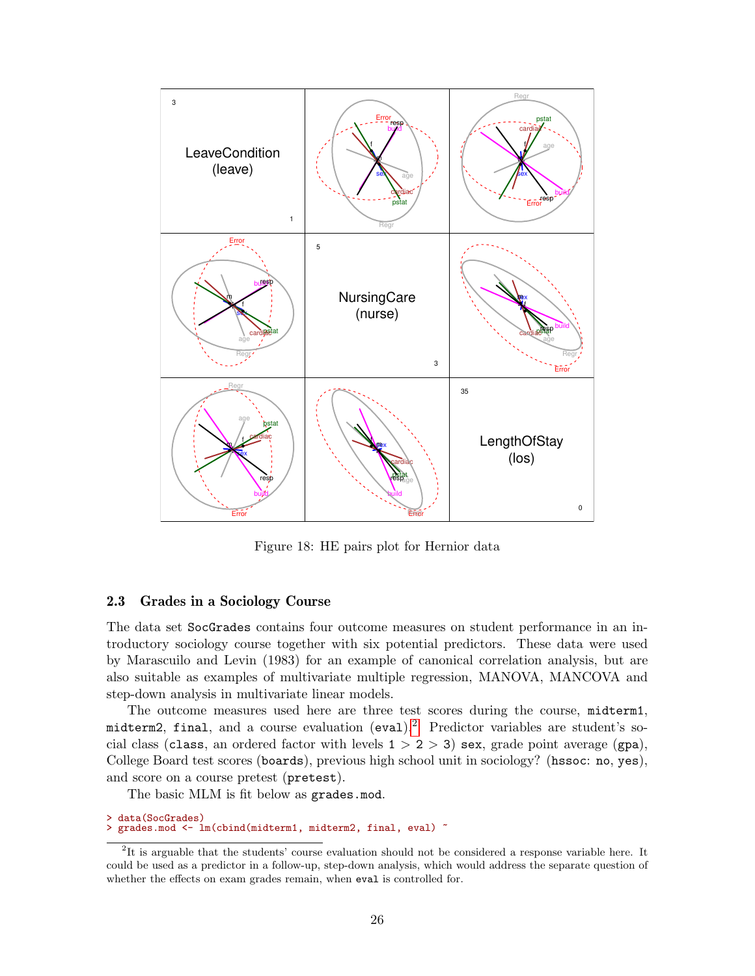

<span id="page-25-1"></span>Figure 18: HE pairs plot for Hernior data

## <span id="page-25-0"></span>2.3 Grades in a Sociology Course

The data set SocGrades contains four outcome measures on student performance in an introductory sociology course together with six potential predictors. These data were used by Marascuilo and Levin (1983) for an example of canonical correlation analysis, but are also suitable as examples of multivariate multiple regression, MANOVA, MANCOVA and step-down analysis in multivariate linear models.

The outcome measures used here are three test scores during the course, midterm1, midterm[2](#page-25-2), final, and a course evaluation (eval).<sup>2</sup> Predictor variables are student's social class (class, an ordered factor with levels  $1 > 2 > 3$ ) sex, grade point average (gpa), College Board test scores (boards), previous high school unit in sociology? (hssoc: no, yes), and score on a course pretest (pretest).

The basic MLM is fit below as grades.mod.

```
> data(SocGrades)
 grades.mod <- lm(cbind(midterm1, midterm2, final, eval) ~
```
<span id="page-25-2"></span><sup>&</sup>lt;sup>2</sup>It is arguable that the students' course evaluation should not be considered a response variable here. It could be used as a predictor in a follow-up, step-down analysis, which would address the separate question of whether the effects on exam grades remain, when eval is controlled for.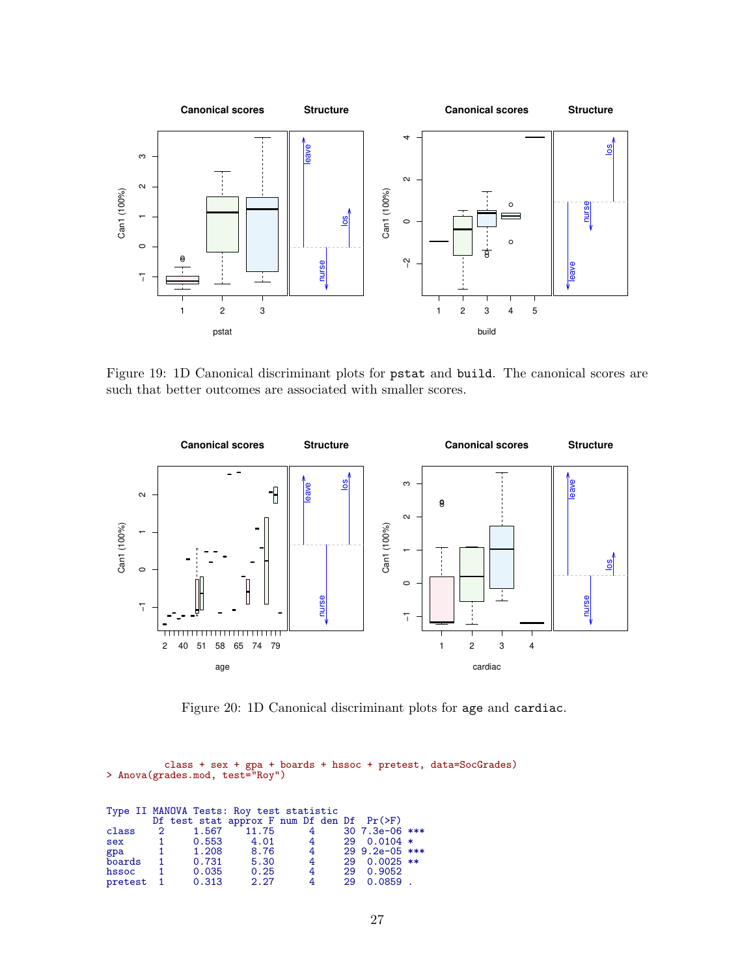

<span id="page-26-0"></span>Figure 19: 1D Canonical discriminant plots for pstat and build. The canonical scores are such that better outcomes are associated with smaller scores.



<span id="page-26-1"></span>Figure 20: 1D Canonical discriminant plots for age and cardiac.

class + sex + gpa + boards + hssoc + pretest, data=SocGrades) > Anova(grades.mod, test="Roy")

| Type II MANOVA Tests: Roy test statistic |              |                                                 |      |                |  |                  |  |  |
|------------------------------------------|--------------|-------------------------------------------------|------|----------------|--|------------------|--|--|
|                                          |              | Df test stat approx F num Df den Df $Pr(\ge F)$ |      |                |  |                  |  |  |
|                                          |              | class 2 1.567 11.75                             |      |                |  | 4 30 7.3e-06 *** |  |  |
| sex                                      |              | 1 0.553                                         | 4.01 | 4              |  | $290.0104*$      |  |  |
| gpa                                      | $\mathbf{1}$ | 1.208                                           | 8.76 | $\overline{4}$ |  | 29 9.2e-05 ***   |  |  |
| boards 1                                 |              | 0.731                                           | 5.30 | $\overline{4}$ |  | 29 0.0025 **     |  |  |
| hssoc                                    | $\sim$ 1     | 0.035                                           | 0.25 | 4              |  | 29 0.9052        |  |  |
| pretest 1                                |              | 0.313                                           | 2.27 | 4              |  | $290.0859$ .     |  |  |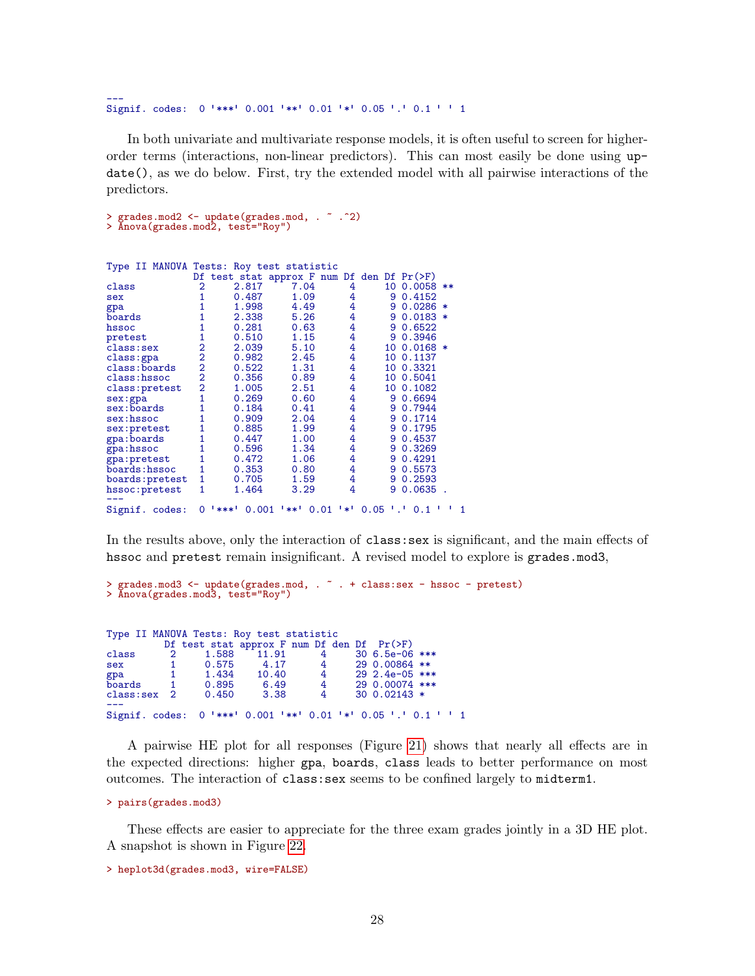---<br>Signif. codes: 0 '\*\*\*' 0.001 '\*\*' 0.01 '\*' 0.05 '.' 0.1 ' ' 1

In both univariate and multivariate response models, it is often useful to screen for higherorder terms (interactions, non-linear predictors). This can most easily be done using update(), as we do below. First, try the extended model with all pairwise interactions of the predictors.

> grades.mod2 <- update(grades.mod, . ~ .^2) > Anova(grades.mod2, test="Roy")

| Type II MANOVA Tests: Roy test statistic |                |               |                                            |     |      |            |        |
|------------------------------------------|----------------|---------------|--------------------------------------------|-----|------|------------|--------|
|                                          |                |               | Df test stat approx F num Df den Df Pr(>F) |     |      |            |        |
| class                                    | 2              | 2.817         | 7.04                                       | 4   |      | 10 0.0058  | $***$  |
| sex                                      |                | 0.487         | 1.09                                       | 4   | 9    | 0.4152     |        |
| gpa                                      |                | 1.998         | 4.49                                       | 4   | 9    | 0.0286     |        |
| boards                                   |                | 2.338         | 5.26                                       | 4   | 9    | 0.0183     | $\ast$ |
| hssoc                                    |                | 0.281         | 0.63                                       | 4   | 9    | 0.6522     |        |
| pretest                                  |                | 0.510         | 1.15                                       | 4   | 9    | 0.3946     |        |
| class:sex                                | $\overline{2}$ | 2.039         | 5.10                                       | 4   | 10   | $0.0168 *$ |        |
| class:gpa                                | $\overline{2}$ | 0.982         | 2.45                                       | 4   | 10   | 0.1137     |        |
| class: boards                            | $\overline{2}$ | 0.522         | 1.31                                       | 4   | 10   | 0.3321     |        |
| class: hssoc                             | $\overline{2}$ | 0.356         | 0.89                                       | 4   | 10   | 0.5041     |        |
| class: pretest                           | $\overline{2}$ | 1.005         | 2.51                                       | 4   | 10   | 0.1082     |        |
| sex:gpa                                  | 1              | 0.269         | 0.60                                       | 4   | 9    | 0.6694     |        |
| sex:boards                               |                | 0.184         | 0.41                                       | 4   | 9    | 0.7944     |        |
| sex: hssoc                               |                | 0.909         | 2.04                                       | 4   | 9    | 0.1714     |        |
| sex:pretest                              |                | 0.885         | 1.99                                       | 4   | 9    | 0.1795     |        |
| gpa: boards                              |                | 0.447         | 1.00                                       | 4   | 9    | 0.4537     |        |
| gpa:hssoc                                |                | 0.596         | 1.34                                       | 4   | 9    | 0.3269     |        |
| gpa: pretest                             |                | 0.472         | 1.06                                       | 4   | 9    | 0.4291     |        |
| boards: hssoc                            |                | 0.353         | 0.80                                       | 4   | 9    | 0.5573     |        |
| boards: pretest                          | 1              | 0.705         | 1.59                                       | 4   | 9    | 0.2593     |        |
| hssoc: pretest                           | 1              | 1.464         | 3.29                                       | 4   | 9    | 0.0635     |        |
| Signif. codes:                           | 0              | ***'<br>0.001 | '**'<br>0.01                               | '*' | 0.05 | 0.1        |        |

In the results above, only the interaction of class: sex is significant, and the main effects of hssoc and pretest remain insignificant. A revised model to explore is grades.mod3,

```
> grades.mod3 <- update(grades.mod, . ~ . + class:sex - hssoc - pretest)
> Anova(grades.mod3, test="Roy")
```

```
Type II MANOVA Tests: Roy test statistic
           Df test stat approx F num Df den Df Pr(>F)<br>2 1.588 11.91 4 30 6.5e-06
class 2 1.588 11.91 4 30 6.5e-06 ***<br>sex 1 0.575 4.17 4 29 0.00864 **
sex 1 0.575 4.17 4 29 0.00864 **
gpa 1 1.434 10.40 4 29 2.4e-05 ***
gpa 1 1.434 10.40 4 29 2.4e-05 ***<br>boards 1 0.895 6.49 4 29 0.00074 ***<br>class:sex 2 0.450 3.38 4 30 0.02143 *
                                                 30 \t0.02143 *
Signif. codes:
                  0 *** 0.001 *** 0.01 ** 0.05 .005 .1 0.1 * 1
```
A pairwise HE plot for all responses (Figure [21\)](#page-28-0) shows that nearly all effects are in the expected directions: higher gpa, boards, class leads to better performance on most outcomes. The interaction of class:sex seems to be confined largely to midterm1.

```
> pairs(grades.mod3)
```
These effects are easier to appreciate for the three exam grades jointly in a 3D HE plot. A snapshot is shown in Figure [22.](#page-29-3)

```
> heplot3d(grades.mod3, wire=FALSE)
```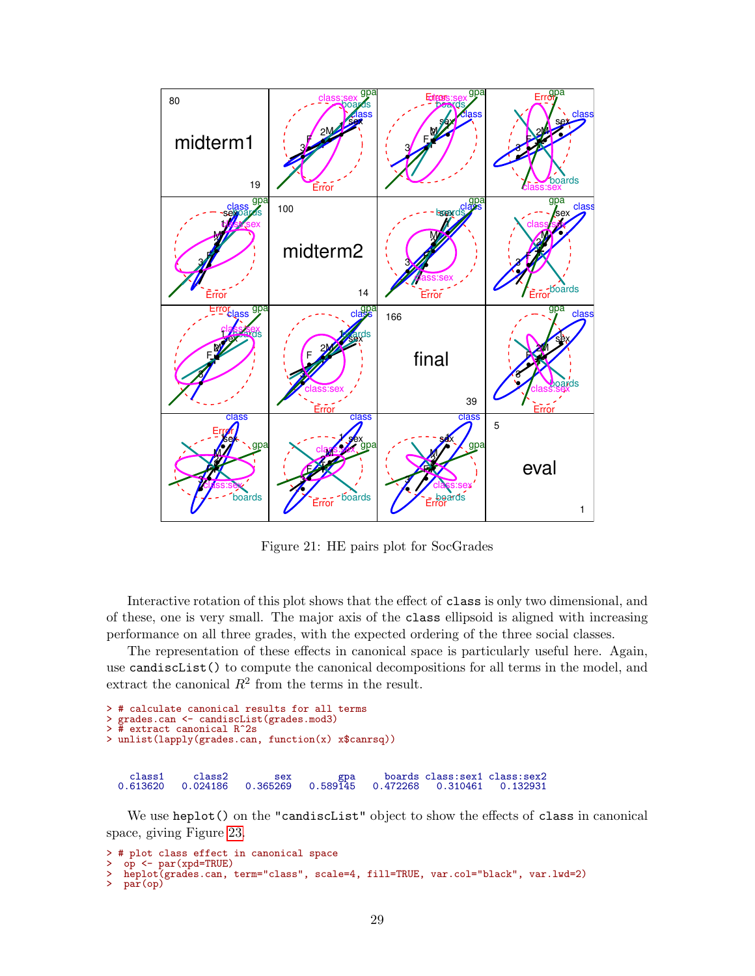

<span id="page-28-0"></span>Figure 21: HE pairs plot for SocGrades

Interactive rotation of this plot shows that the effect of class is only two dimensional, and of these, one is very small. The major axis of the class ellipsoid is aligned with increasing performance on all three grades, with the expected ordering of the three social classes.

The representation of these effects in canonical space is particularly useful here. Again, use candiscList() to compute the canonical decompositions for all terms in the model, and extract the canonical  $R^2$  from the terms in the result.

```
> # calculate canonical results for all terms
> grades.can <- candiscList(grades.mod3)
> # extract canonical R^2s
> unlist(lapply(grades.can, function(x) x$canrsq))
 class1 class2 sex gpa boards class:sex1 class:sex2
                                                    0.310461
```
We use heplot() on the "candiscList" object to show the effects of class in canonical space, giving Figure [23.](#page-30-0)

```
> # plot class effect in canonical space
> op <- par(xpd=TRUE)
> heplot(grades.can, term="class", scale=4, fill=TRUE, var.col="black", var.lwd=2)
  par(op)
```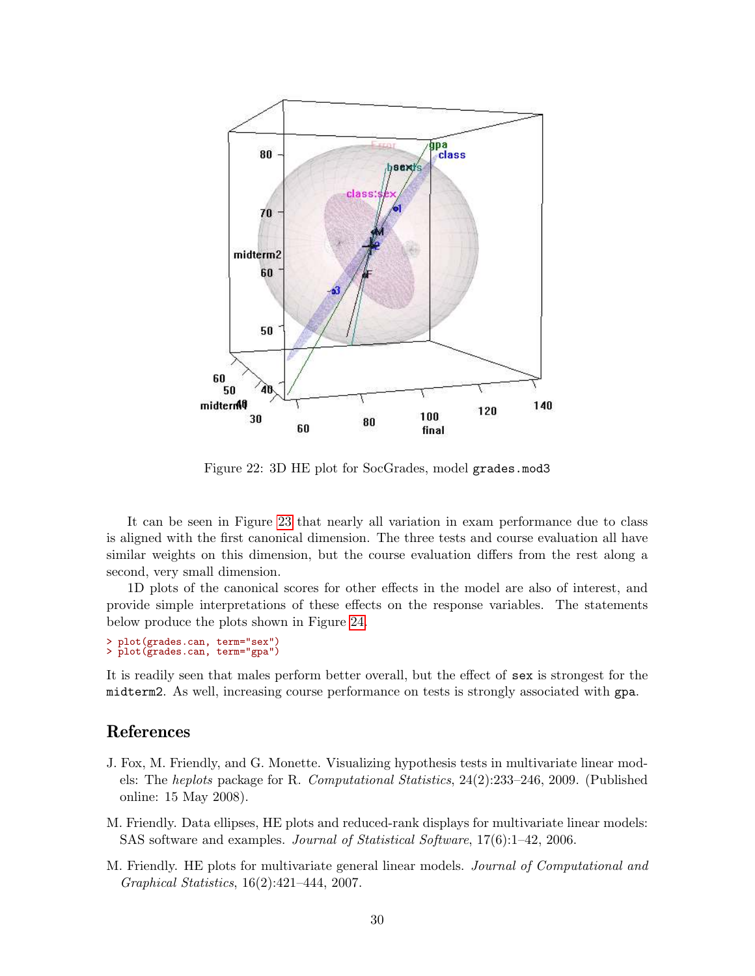

<span id="page-29-3"></span>Figure 22: 3D HE plot for SocGrades, model grades.mod3

It can be seen in Figure [23](#page-30-0) that nearly all variation in exam performance due to class is aligned with the first canonical dimension. The three tests and course evaluation all have similar weights on this dimension, but the course evaluation differs from the rest along a second, very small dimension.

1D plots of the canonical scores for other effects in the model are also of interest, and provide simple interpretations of these effects on the response variables. The statements below produce the plots shown in Figure [24.](#page-30-1)

```
> plot(grades.can, term="sex")
> plot(grades.can, term="gpa")
```
It is readily seen that males perform better overall, but the effect of sex is strongest for the midterm2. As well, increasing course performance on tests is strongly associated with gpa.

# References

- <span id="page-29-0"></span>J. Fox, M. Friendly, and G. Monette. Visualizing hypothesis tests in multivariate linear models: The heplots package for R. Computational Statistics, 24(2):233–246, 2009. (Published online: 15 May 2008).
- <span id="page-29-2"></span>M. Friendly. Data ellipses, HE plots and reduced-rank displays for multivariate linear models: SAS software and examples. Journal of Statistical Software, 17(6):1–42, 2006.
- <span id="page-29-1"></span>M. Friendly. HE plots for multivariate general linear models. Journal of Computational and Graphical Statistics, 16(2):421–444, 2007.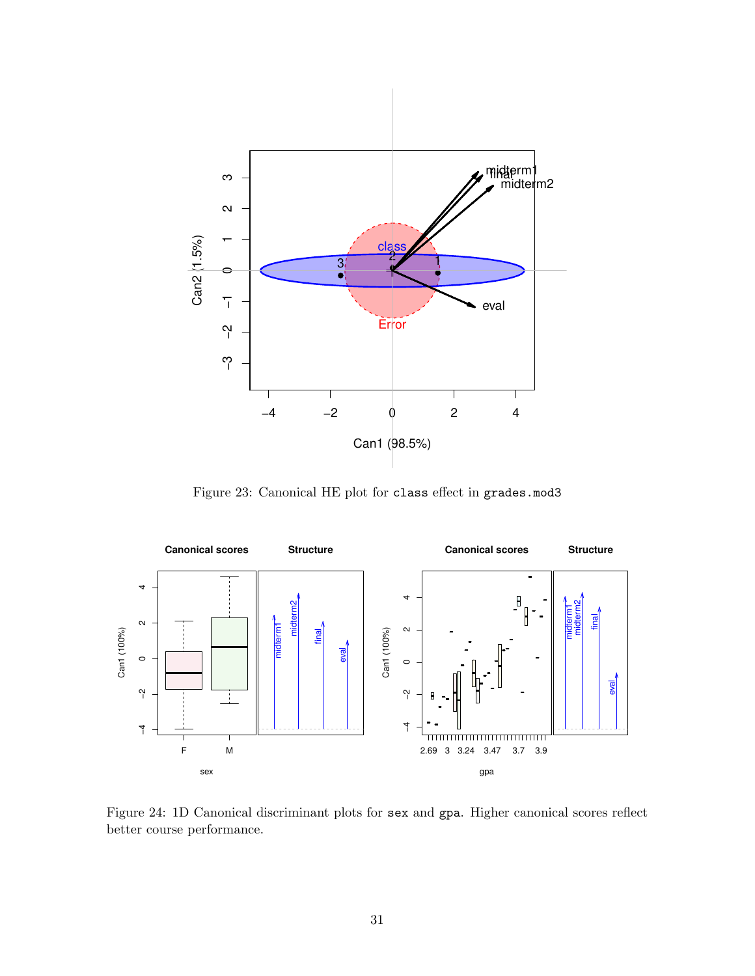

<span id="page-30-0"></span>Figure 23: Canonical HE plot for class effect in grades.mod3



<span id="page-30-1"></span>Figure 24: 1D Canonical discriminant plots for sex and gpa. Higher canonical scores reflect better course performance.